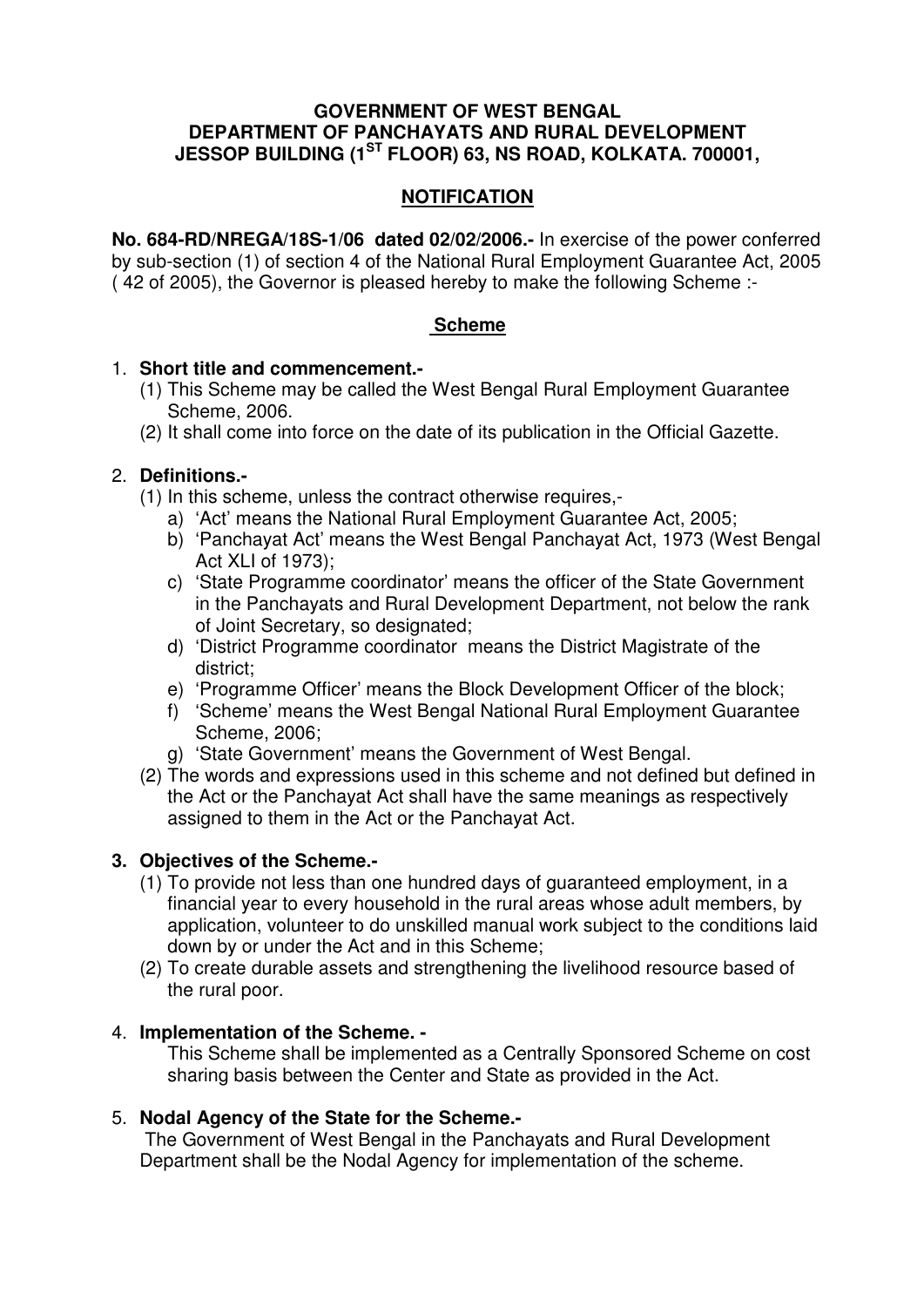#### **GOVERNMENT OF WEST BENGAL DEPARTMENT OF PANCHAYATS AND RURAL DEVELOPMENT JESSOP BUILDING (1ST FLOOR) 63, NS ROAD, KOLKATA. 700001,**

# **NOTIFICATION**

**No. 684-RD/NREGA/18S-1/06 dated 02/02/2006.-** In exercise of the power conferred by sub-section (1) of section 4 of the National Rural Employment Guarantee Act, 2005 ( 42 of 2005), the Governor is pleased hereby to make the following Scheme :-

### **Scheme**

### 1. **Short title and commencement.-**

- (1) This Scheme may be called the West Bengal Rural Employment Guarantee Scheme, 2006.
- (2) It shall come into force on the date of its publication in the Official Gazette.

# 2. **Definitions.-**

- (1) In this scheme, unless the contract otherwise requires,
	- a) 'Act' means the National Rural Employment Guarantee Act, 2005;
	- b) 'Panchayat Act' means the West Bengal Panchayat Act, 1973 (West Bengal Act XLI of 1973);
	- c) 'State Programme coordinator' means the officer of the State Government in the Panchayats and Rural Development Department, not below the rank of Joint Secretary, so designated;
	- d) 'District Programme coordinator means the District Magistrate of the district;
	- e) 'Programme Officer' means the Block Development Officer of the block;
	- f) 'Scheme' means the West Bengal National Rural Employment Guarantee Scheme, 2006;
	- g) 'State Government' means the Government of West Bengal.
- (2) The words and expressions used in this scheme and not defined but defined in the Act or the Panchayat Act shall have the same meanings as respectively assigned to them in the Act or the Panchayat Act.

# **3. Objectives of the Scheme.-**

- (1) To provide not less than one hundred days of guaranteed employment, in a financial year to every household in the rural areas whose adult members, by application, volunteer to do unskilled manual work subject to the conditions laid down by or under the Act and in this Scheme;
- (2) To create durable assets and strengthening the livelihood resource based of the rural poor.

### 4. **Implementation of the Scheme. -**

This Scheme shall be implemented as a Centrally Sponsored Scheme on cost sharing basis between the Center and State as provided in the Act.

### 5. **Nodal Agency of the State for the Scheme.-**

 The Government of West Bengal in the Panchayats and Rural Development Department shall be the Nodal Agency for implementation of the scheme.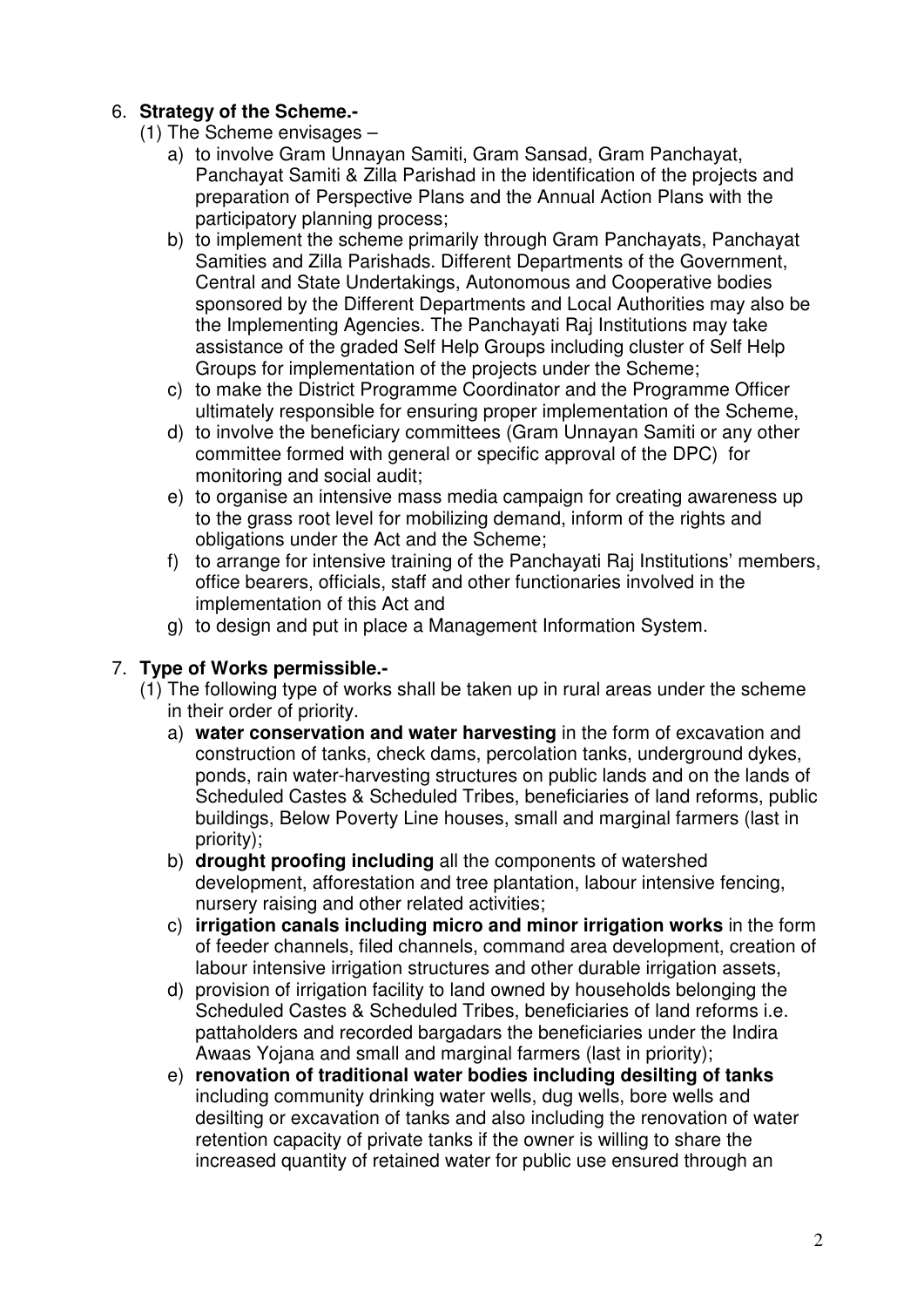# 6. **Strategy of the Scheme.-**

- (1) The Scheme envisages
	- a) to involve Gram Unnayan Samiti, Gram Sansad, Gram Panchayat, Panchayat Samiti & Zilla Parishad in the identification of the projects and preparation of Perspective Plans and the Annual Action Plans with the participatory planning process;
	- b) to implement the scheme primarily through Gram Panchayats, Panchayat Samities and Zilla Parishads. Different Departments of the Government, Central and State Undertakings, Autonomous and Cooperative bodies sponsored by the Different Departments and Local Authorities may also be the Implementing Agencies. The Panchayati Raj Institutions may take assistance of the graded Self Help Groups including cluster of Self Help Groups for implementation of the projects under the Scheme;
	- c) to make the District Programme Coordinator and the Programme Officer ultimately responsible for ensuring proper implementation of the Scheme,
	- d) to involve the beneficiary committees (Gram Unnayan Samiti or any other committee formed with general or specific approval of the DPC) for monitoring and social audit;
	- e) to organise an intensive mass media campaign for creating awareness up to the grass root level for mobilizing demand, inform of the rights and obligations under the Act and the Scheme;
	- f) to arrange for intensive training of the Panchayati Raj Institutions' members, office bearers, officials, staff and other functionaries involved in the implementation of this Act and
	- g) to design and put in place a Management Information System.

# 7. **Type of Works permissible.-**

- (1) The following type of works shall be taken up in rural areas under the scheme in their order of priority.
	- a) **water conservation and water harvesting** in the form of excavation and construction of tanks, check dams, percolation tanks, underground dykes, ponds, rain water-harvesting structures on public lands and on the lands of Scheduled Castes & Scheduled Tribes, beneficiaries of land reforms, public buildings, Below Poverty Line houses, small and marginal farmers (last in priority);
	- b) **drought proofing including** all the components of watershed development, afforestation and tree plantation, labour intensive fencing, nursery raising and other related activities;
	- c) **irrigation canals including micro and minor irrigation works** in the form of feeder channels, filed channels, command area development, creation of labour intensive irrigation structures and other durable irrigation assets,
	- d) provision of irrigation facility to land owned by households belonging the Scheduled Castes & Scheduled Tribes, beneficiaries of land reforms i.e. pattaholders and recorded bargadars the beneficiaries under the Indira Awaas Yojana and small and marginal farmers (last in priority);
	- e) **renovation of traditional water bodies including desilting of tanks** including community drinking water wells, dug wells, bore wells and desilting or excavation of tanks and also including the renovation of water retention capacity of private tanks if the owner is willing to share the increased quantity of retained water for public use ensured through an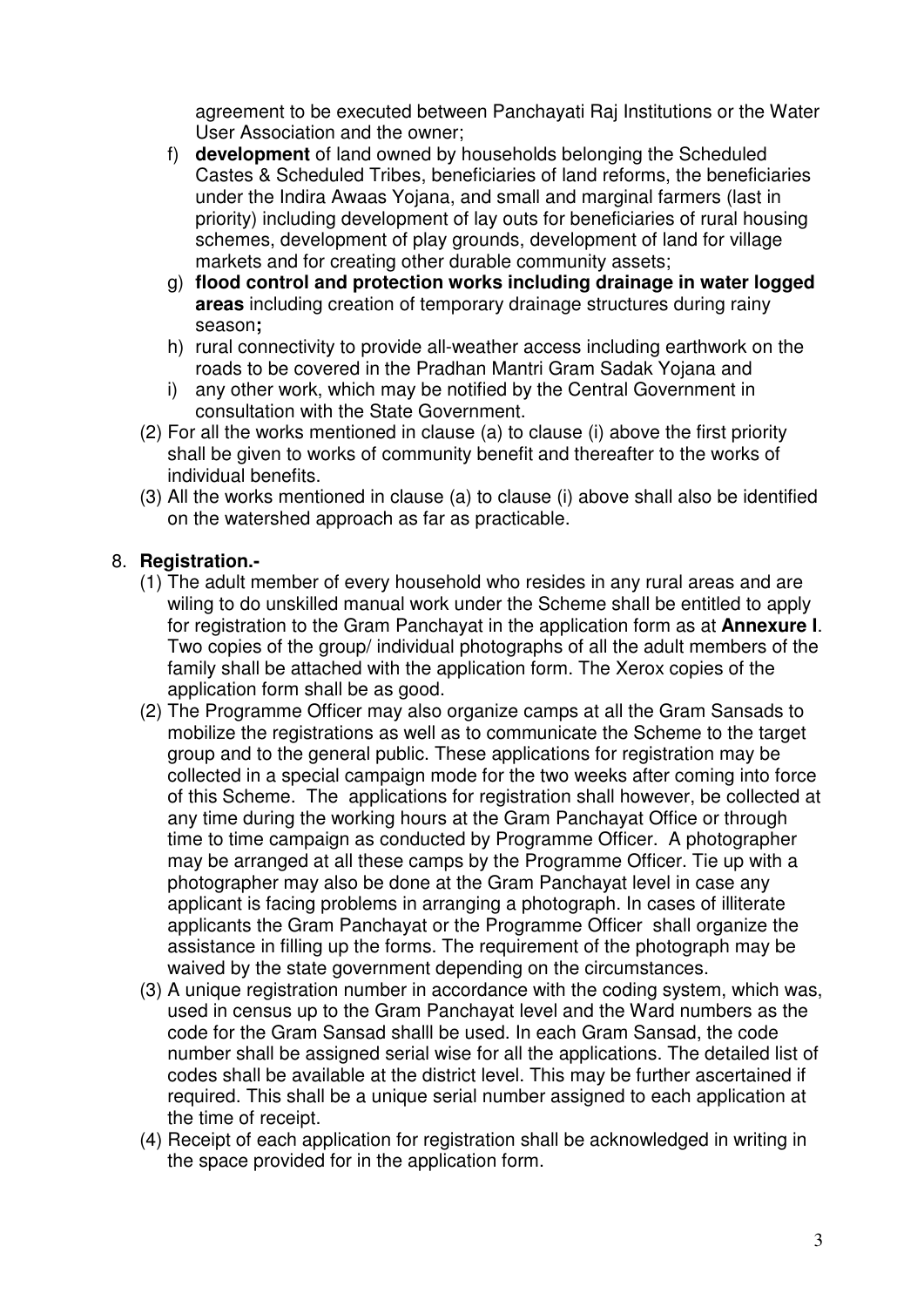agreement to be executed between Panchayati Raj Institutions or the Water User Association and the owner;

- f) **development** of land owned by households belonging the Scheduled Castes & Scheduled Tribes, beneficiaries of land reforms, the beneficiaries under the Indira Awaas Yojana, and small and marginal farmers (last in priority) including development of lay outs for beneficiaries of rural housing schemes, development of play grounds, development of land for village markets and for creating other durable community assets;
- g) **flood control and protection works including drainage in water logged areas** including creation of temporary drainage structures during rainy season**;**
- h) rural connectivity to provide all-weather access including earthwork on the roads to be covered in the Pradhan Mantri Gram Sadak Yojana and
- i) any other work, which may be notified by the Central Government in consultation with the State Government.
- (2) For all the works mentioned in clause (a) to clause (i) above the first priority shall be given to works of community benefit and thereafter to the works of individual benefits.
- (3) All the works mentioned in clause (a) to clause (i) above shall also be identified on the watershed approach as far as practicable.

# 8. **Registration.-**

- (1) The adult member of every household who resides in any rural areas and are wiling to do unskilled manual work under the Scheme shall be entitled to apply for registration to the Gram Panchayat in the application form as at **Annexure I**. Two copies of the group/ individual photographs of all the adult members of the family shall be attached with the application form. The Xerox copies of the application form shall be as good.
- (2) The Programme Officer may also organize camps at all the Gram Sansads to mobilize the registrations as well as to communicate the Scheme to the target group and to the general public. These applications for registration may be collected in a special campaign mode for the two weeks after coming into force of this Scheme. The applications for registration shall however, be collected at any time during the working hours at the Gram Panchayat Office or through time to time campaign as conducted by Programme Officer. A photographer may be arranged at all these camps by the Programme Officer. Tie up with a photographer may also be done at the Gram Panchayat level in case any applicant is facing problems in arranging a photograph. In cases of illiterate applicants the Gram Panchayat or the Programme Officer shall organize the assistance in filling up the forms. The requirement of the photograph may be waived by the state government depending on the circumstances.
- (3) A unique registration number in accordance with the coding system, which was, used in census up to the Gram Panchayat level and the Ward numbers as the code for the Gram Sansad shalll be used. In each Gram Sansad, the code number shall be assigned serial wise for all the applications. The detailed list of codes shall be available at the district level. This may be further ascertained if required. This shall be a unique serial number assigned to each application at the time of receipt.
- (4) Receipt of each application for registration shall be acknowledged in writing in the space provided for in the application form.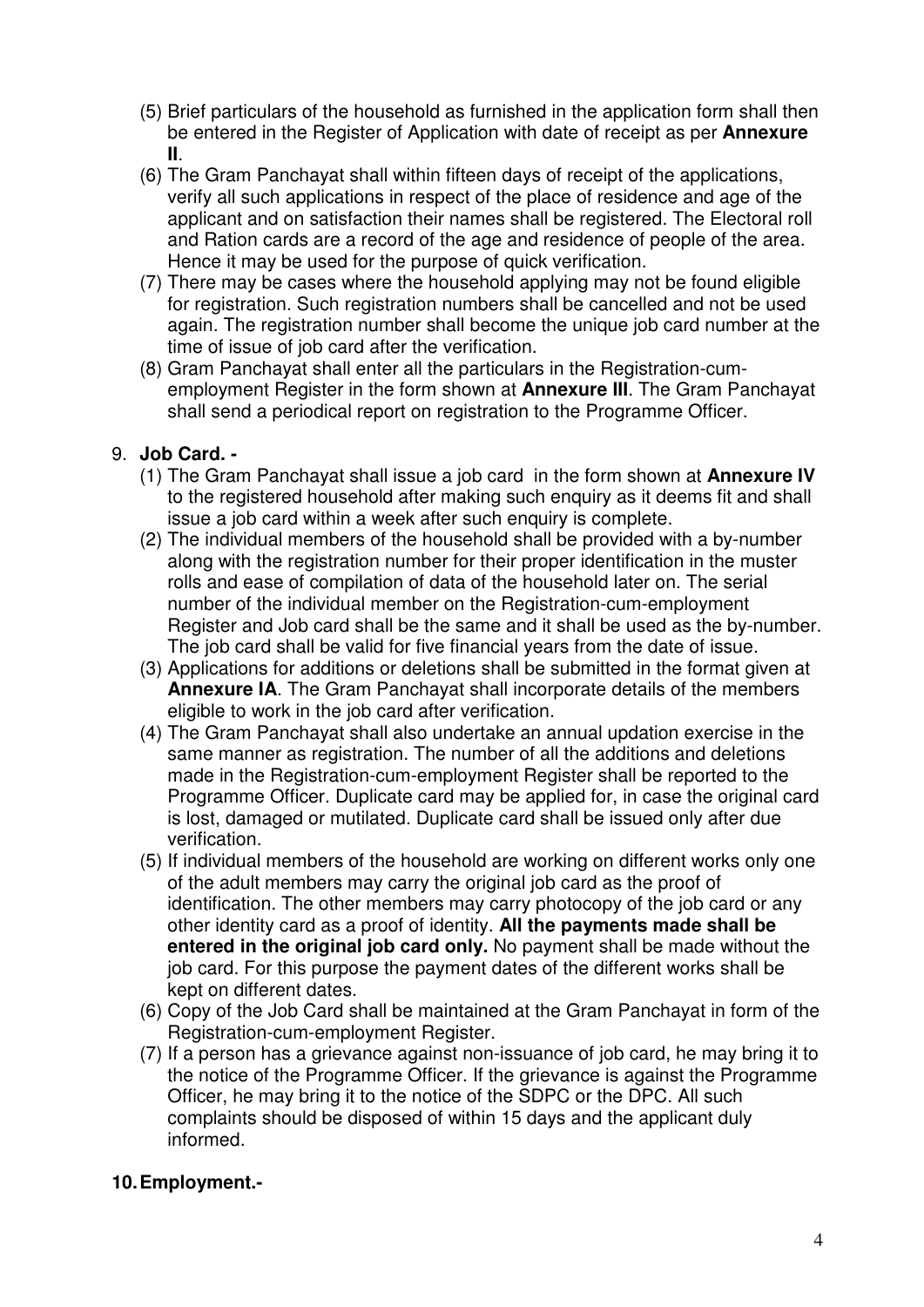- (5) Brief particulars of the household as furnished in the application form shall then be entered in the Register of Application with date of receipt as per **Annexure II**.
- (6) The Gram Panchayat shall within fifteen days of receipt of the applications, verify all such applications in respect of the place of residence and age of the applicant and on satisfaction their names shall be registered. The Electoral roll and Ration cards are a record of the age and residence of people of the area. Hence it may be used for the purpose of quick verification.
- (7) There may be cases where the household applying may not be found eligible for registration. Such registration numbers shall be cancelled and not be used again. The registration number shall become the unique job card number at the time of issue of job card after the verification.
- (8) Gram Panchayat shall enter all the particulars in the Registration-cumemployment Register in the form shown at **Annexure III**. The Gram Panchayat shall send a periodical report on registration to the Programme Officer.

# 9. **Job Card. -**

- (1) The Gram Panchayat shall issue a job card in the form shown at **Annexure IV** to the registered household after making such enquiry as it deems fit and shall issue a job card within a week after such enquiry is complete.
- (2) The individual members of the household shall be provided with a by-number along with the registration number for their proper identification in the muster rolls and ease of compilation of data of the household later on. The serial number of the individual member on the Registration-cum-employment Register and Job card shall be the same and it shall be used as the by-number. The job card shall be valid for five financial years from the date of issue.
- (3) Applications for additions or deletions shall be submitted in the format given at **Annexure IA**. The Gram Panchayat shall incorporate details of the members eligible to work in the job card after verification.
- (4) The Gram Panchayat shall also undertake an annual updation exercise in the same manner as registration. The number of all the additions and deletions made in the Registration-cum-employment Register shall be reported to the Programme Officer. Duplicate card may be applied for, in case the original card is lost, damaged or mutilated. Duplicate card shall be issued only after due verification.
- (5) If individual members of the household are working on different works only one of the adult members may carry the original job card as the proof of identification. The other members may carry photocopy of the job card or any other identity card as a proof of identity. **All the payments made shall be entered in the original job card only.** No payment shall be made without the job card. For this purpose the payment dates of the different works shall be kept on different dates.
- (6) Copy of the Job Card shall be maintained at the Gram Panchayat in form of the Registration-cum-employment Register.
- (7) If a person has a grievance against non-issuance of job card, he may bring it to the notice of the Programme Officer. If the grievance is against the Programme Officer, he may bring it to the notice of the SDPC or the DPC. All such complaints should be disposed of within 15 days and the applicant duly informed.

# **10. Employment.-**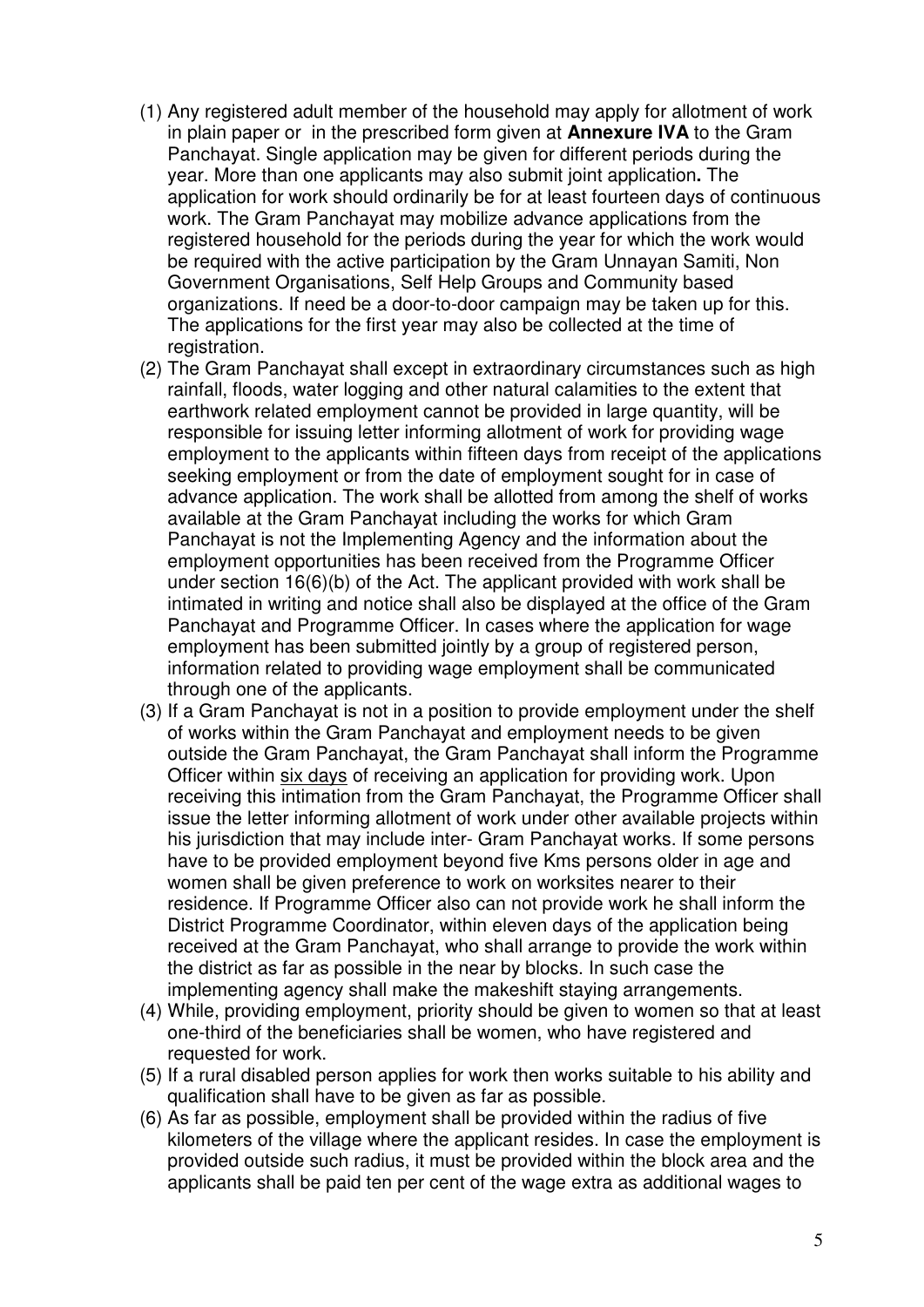- (1) Any registered adult member of the household may apply for allotment of work in plain paper or in the prescribed form given at **Annexure IVA** to the Gram Panchayat. Single application may be given for different periods during the year. More than one applicants may also submit joint application**.** The application for work should ordinarily be for at least fourteen days of continuous work. The Gram Panchayat may mobilize advance applications from the registered household for the periods during the year for which the work would be required with the active participation by the Gram Unnayan Samiti, Non Government Organisations, Self Help Groups and Community based organizations. If need be a door-to-door campaign may be taken up for this. The applications for the first year may also be collected at the time of registration.
- (2) The Gram Panchayat shall except in extraordinary circumstances such as high rainfall, floods, water logging and other natural calamities to the extent that earthwork related employment cannot be provided in large quantity, will be responsible for issuing letter informing allotment of work for providing wage employment to the applicants within fifteen days from receipt of the applications seeking employment or from the date of employment sought for in case of advance application. The work shall be allotted from among the shelf of works available at the Gram Panchayat including the works for which Gram Panchayat is not the Implementing Agency and the information about the employment opportunities has been received from the Programme Officer under section 16(6)(b) of the Act. The applicant provided with work shall be intimated in writing and notice shall also be displayed at the office of the Gram Panchayat and Programme Officer. In cases where the application for wage employment has been submitted jointly by a group of registered person, information related to providing wage employment shall be communicated through one of the applicants.
- (3) If a Gram Panchayat is not in a position to provide employment under the shelf of works within the Gram Panchayat and employment needs to be given outside the Gram Panchayat, the Gram Panchayat shall inform the Programme Officer within six days of receiving an application for providing work. Upon receiving this intimation from the Gram Panchayat, the Programme Officer shall issue the letter informing allotment of work under other available projects within his jurisdiction that may include inter- Gram Panchayat works. If some persons have to be provided employment beyond five Kms persons older in age and women shall be given preference to work on worksites nearer to their residence. If Programme Officer also can not provide work he shall inform the District Programme Coordinator, within eleven days of the application being received at the Gram Panchayat, who shall arrange to provide the work within the district as far as possible in the near by blocks. In such case the implementing agency shall make the makeshift staying arrangements.
- (4) While, providing employment, priority should be given to women so that at least one-third of the beneficiaries shall be women, who have registered and requested for work.
- (5) If a rural disabled person applies for work then works suitable to his ability and qualification shall have to be given as far as possible.
- (6) As far as possible, employment shall be provided within the radius of five kilometers of the village where the applicant resides. In case the employment is provided outside such radius, it must be provided within the block area and the applicants shall be paid ten per cent of the wage extra as additional wages to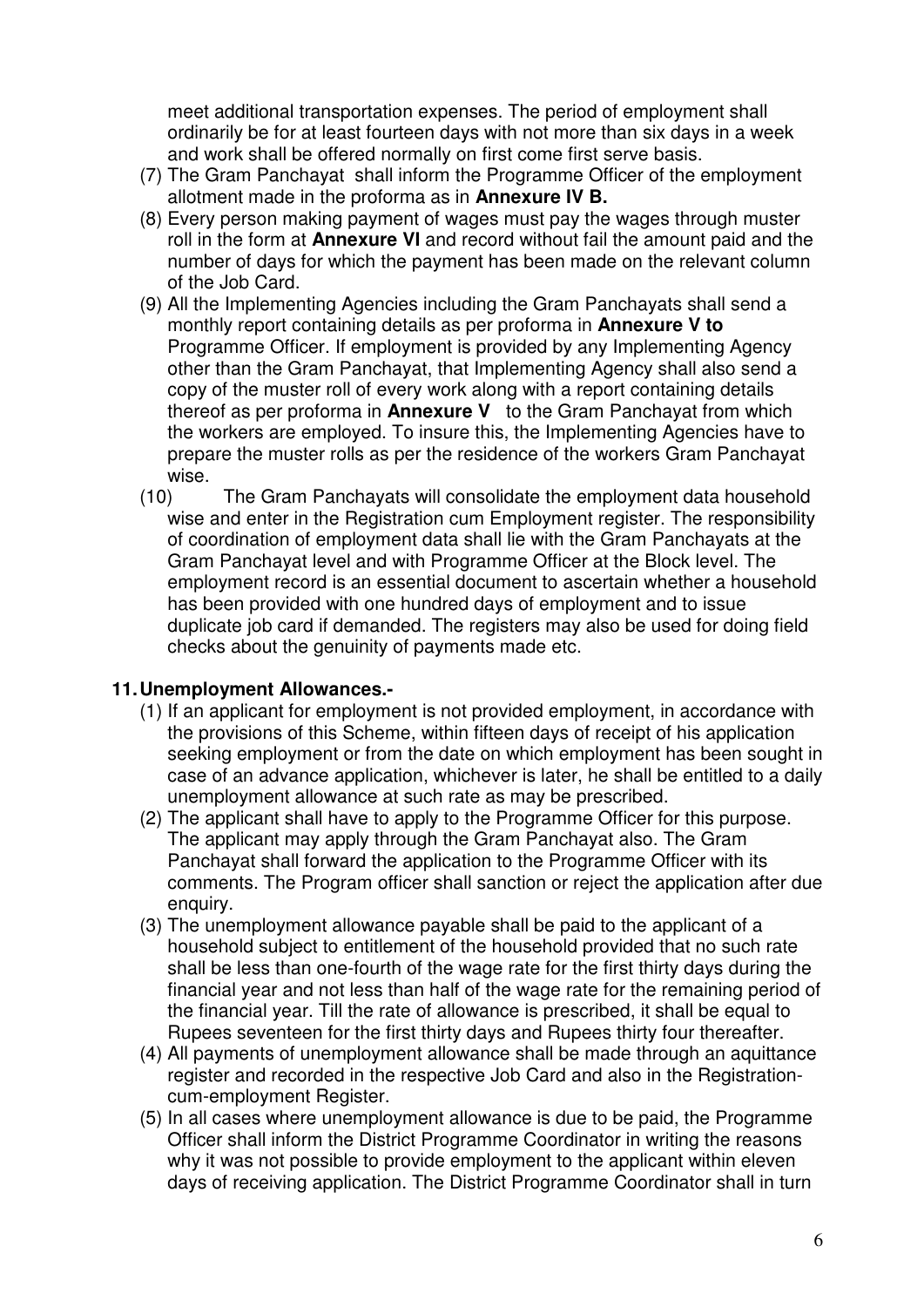meet additional transportation expenses. The period of employment shall ordinarily be for at least fourteen days with not more than six days in a week and work shall be offered normally on first come first serve basis.

- (7) The Gram Panchayat shall inform the Programme Officer of the employment allotment made in the proforma as in **Annexure IV B.**
- (8) Every person making payment of wages must pay the wages through muster roll in the form at **Annexure VI** and record without fail the amount paid and the number of days for which the payment has been made on the relevant column of the Job Card.
- (9) All the Implementing Agencies including the Gram Panchayats shall send a monthly report containing details as per proforma in **Annexure V to**  Programme Officer. If employment is provided by any Implementing Agency other than the Gram Panchayat, that Implementing Agency shall also send a copy of the muster roll of every work along with a report containing details thereof as per proforma in **Annexure V** to the Gram Panchayat from which the workers are employed. To insure this, the Implementing Agencies have to prepare the muster rolls as per the residence of the workers Gram Panchayat wise.
- (10) The Gram Panchayats will consolidate the employment data household wise and enter in the Registration cum Employment register. The responsibility of coordination of employment data shall lie with the Gram Panchayats at the Gram Panchayat level and with Programme Officer at the Block level. The employment record is an essential document to ascertain whether a household has been provided with one hundred days of employment and to issue duplicate job card if demanded. The registers may also be used for doing field checks about the genuinity of payments made etc.

### **11. Unemployment Allowances.-**

- (1) If an applicant for employment is not provided employment, in accordance with the provisions of this Scheme, within fifteen days of receipt of his application seeking employment or from the date on which employment has been sought in case of an advance application, whichever is later, he shall be entitled to a daily unemployment allowance at such rate as may be prescribed.
- (2) The applicant shall have to apply to the Programme Officer for this purpose. The applicant may apply through the Gram Panchayat also. The Gram Panchayat shall forward the application to the Programme Officer with its comments. The Program officer shall sanction or reject the application after due enquiry.
- (3) The unemployment allowance payable shall be paid to the applicant of a household subject to entitlement of the household provided that no such rate shall be less than one-fourth of the wage rate for the first thirty days during the financial year and not less than half of the wage rate for the remaining period of the financial year. Till the rate of allowance is prescribed, it shall be equal to Rupees seventeen for the first thirty days and Rupees thirty four thereafter.
- (4) All payments of unemployment allowance shall be made through an aquittance register and recorded in the respective Job Card and also in the Registrationcum-employment Register.
- (5) In all cases where unemployment allowance is due to be paid, the Programme Officer shall inform the District Programme Coordinator in writing the reasons why it was not possible to provide employment to the applicant within eleven days of receiving application. The District Programme Coordinator shall in turn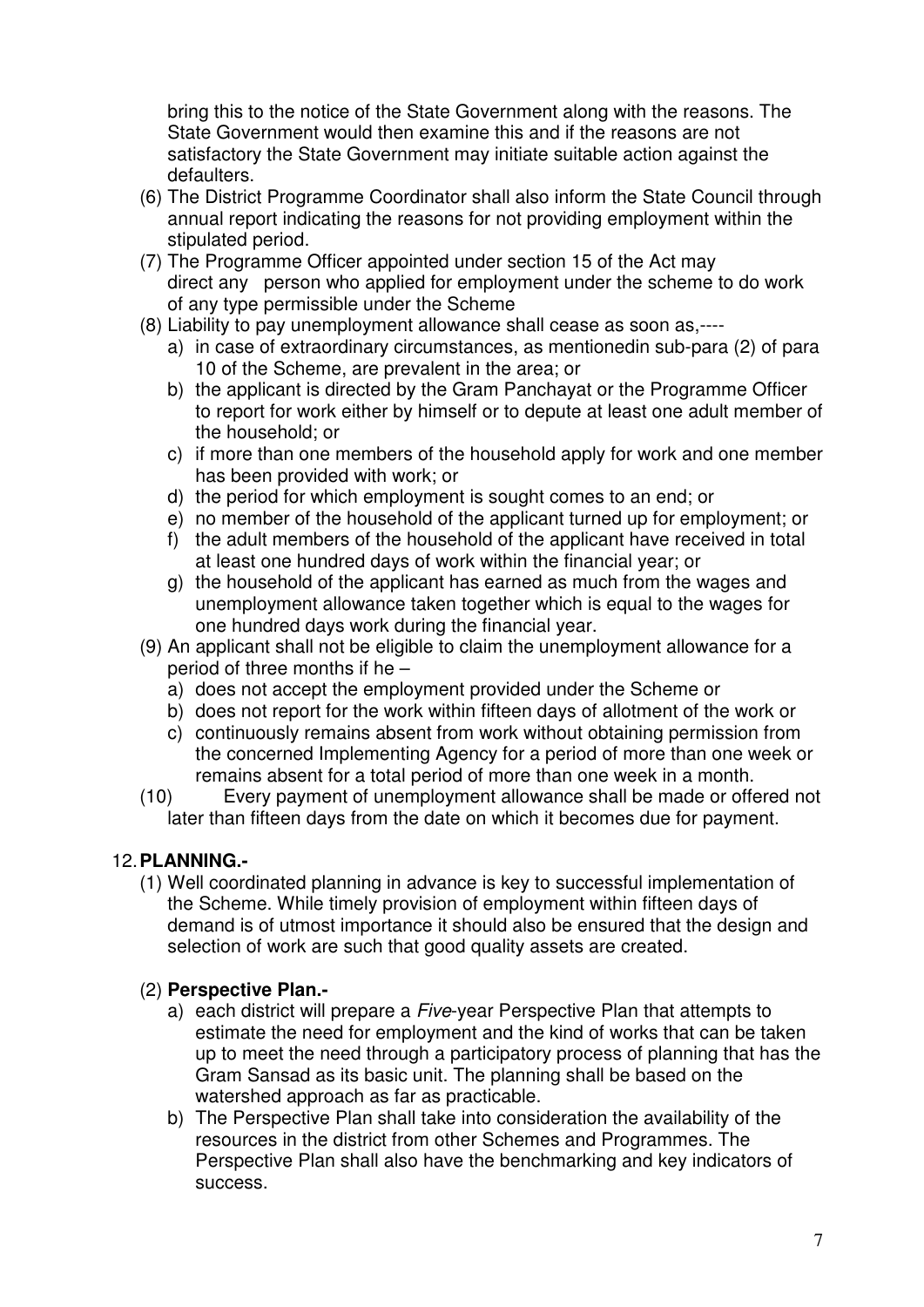bring this to the notice of the State Government along with the reasons. The State Government would then examine this and if the reasons are not satisfactory the State Government may initiate suitable action against the defaulters.

- (6) The District Programme Coordinator shall also inform the State Council through annual report indicating the reasons for not providing employment within the stipulated period.
- (7) The Programme Officer appointed under section 15 of the Act may direct any person who applied for employment under the scheme to do work of any type permissible under the Scheme
- (8) Liability to pay unemployment allowance shall cease as soon as,---
	- a) in case of extraordinary circumstances, as mentionedin sub-para (2) of para 10 of the Scheme, are prevalent in the area; or
	- b) the applicant is directed by the Gram Panchayat or the Programme Officer to report for work either by himself or to depute at least one adult member of the household; or
	- c) if more than one members of the household apply for work and one member has been provided with work; or
	- d) the period for which employment is sought comes to an end; or
	- e) no member of the household of the applicant turned up for employment; or
	- f) the adult members of the household of the applicant have received in total at least one hundred days of work within the financial year; or
	- g) the household of the applicant has earned as much from the wages and unemployment allowance taken together which is equal to the wages for one hundred days work during the financial year.
- (9) An applicant shall not be eligible to claim the unemployment allowance for a period of three months if he –
	- a) does not accept the employment provided under the Scheme or
	- b) does not report for the work within fifteen days of allotment of the work or
	- c) continuously remains absent from work without obtaining permission from the concerned Implementing Agency for a period of more than one week or remains absent for a total period of more than one week in a month.
- (10) Every payment of unemployment allowance shall be made or offered not later than fifteen days from the date on which it becomes due for payment.

# 12. **PLANNING.-**

(1) Well coordinated planning in advance is key to successful implementation of the Scheme. While timely provision of employment within fifteen days of demand is of utmost importance it should also be ensured that the design and selection of work are such that good quality assets are created.

# (2) **Perspective Plan.-**

- a) each district will prepare a Five-year Perspective Plan that attempts to estimate the need for employment and the kind of works that can be taken up to meet the need through a participatory process of planning that has the Gram Sansad as its basic unit. The planning shall be based on the watershed approach as far as practicable.
- b) The Perspective Plan shall take into consideration the availability of the resources in the district from other Schemes and Programmes. The Perspective Plan shall also have the benchmarking and key indicators of success.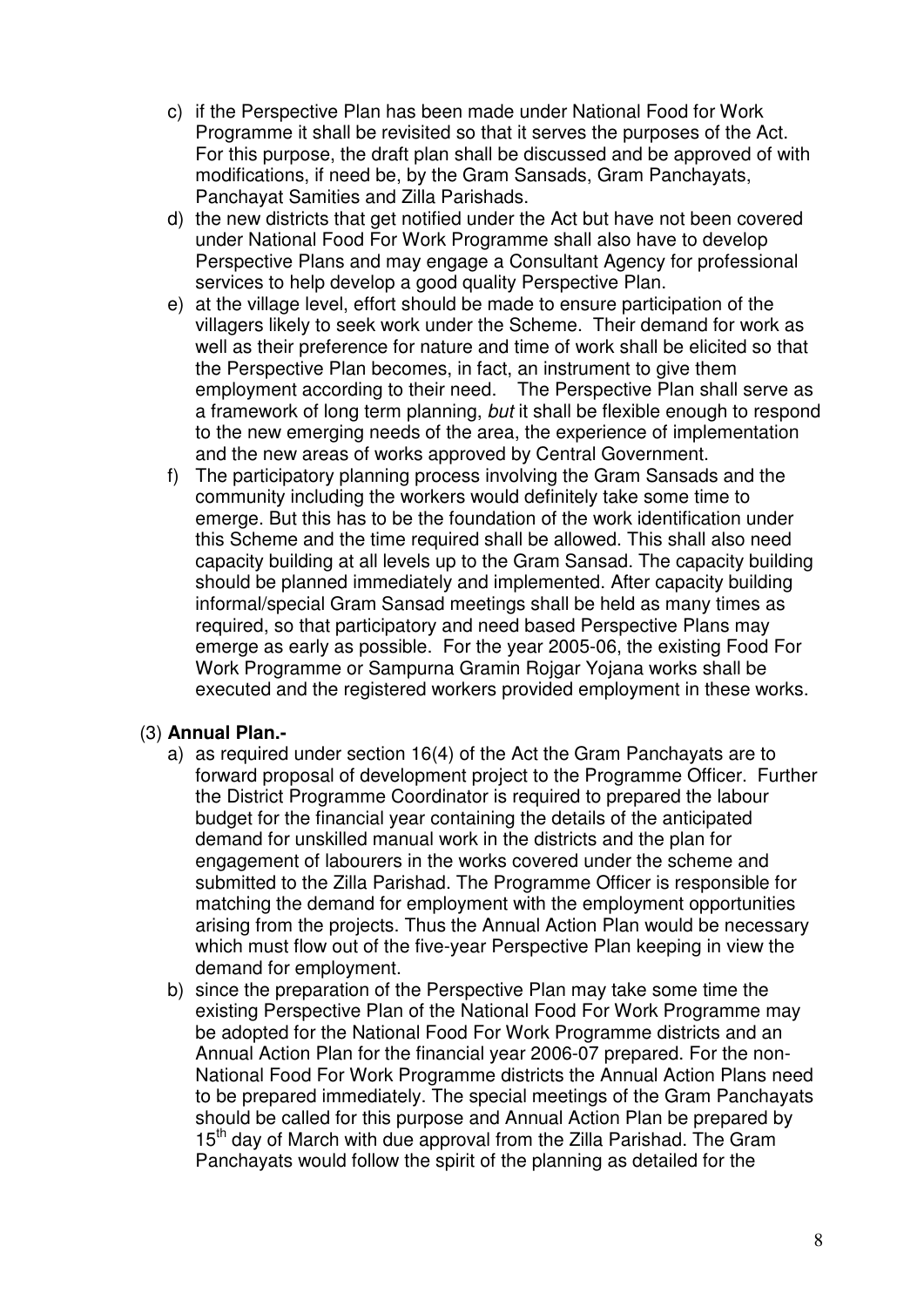- c) if the Perspective Plan has been made under National Food for Work Programme it shall be revisited so that it serves the purposes of the Act. For this purpose, the draft plan shall be discussed and be approved of with modifications, if need be, by the Gram Sansads, Gram Panchayats, Panchayat Samities and Zilla Parishads.
- d) the new districts that get notified under the Act but have not been covered under National Food For Work Programme shall also have to develop Perspective Plans and may engage a Consultant Agency for professional services to help develop a good quality Perspective Plan.
- e) at the village level, effort should be made to ensure participation of the villagers likely to seek work under the Scheme. Their demand for work as well as their preference for nature and time of work shall be elicited so that the Perspective Plan becomes, in fact, an instrument to give them employment according to their need. The Perspective Plan shall serve as a framework of long term planning, but it shall be flexible enough to respond to the new emerging needs of the area, the experience of implementation and the new areas of works approved by Central Government.
- f) The participatory planning process involving the Gram Sansads and the community including the workers would definitely take some time to emerge. But this has to be the foundation of the work identification under this Scheme and the time required shall be allowed. This shall also need capacity building at all levels up to the Gram Sansad. The capacity building should be planned immediately and implemented. After capacity building informal/special Gram Sansad meetings shall be held as many times as required, so that participatory and need based Perspective Plans may emerge as early as possible. For the year 2005-06, the existing Food For Work Programme or Sampurna Gramin Rojgar Yojana works shall be executed and the registered workers provided employment in these works.

# (3) **Annual Plan.-**

- a) as required under section 16(4) of the Act the Gram Panchayats are to forward proposal of development project to the Programme Officer. Further the District Programme Coordinator is required to prepared the labour budget for the financial year containing the details of the anticipated demand for unskilled manual work in the districts and the plan for engagement of labourers in the works covered under the scheme and submitted to the Zilla Parishad. The Programme Officer is responsible for matching the demand for employment with the employment opportunities arising from the projects. Thus the Annual Action Plan would be necessary which must flow out of the five-year Perspective Plan keeping in view the demand for employment.
- b) since the preparation of the Perspective Plan may take some time the existing Perspective Plan of the National Food For Work Programme may be adopted for the National Food For Work Programme districts and an Annual Action Plan for the financial year 2006-07 prepared. For the non-National Food For Work Programme districts the Annual Action Plans need to be prepared immediately. The special meetings of the Gram Panchayats should be called for this purpose and Annual Action Plan be prepared by 15<sup>th</sup> day of March with due approval from the Zilla Parishad. The Gram Panchayats would follow the spirit of the planning as detailed for the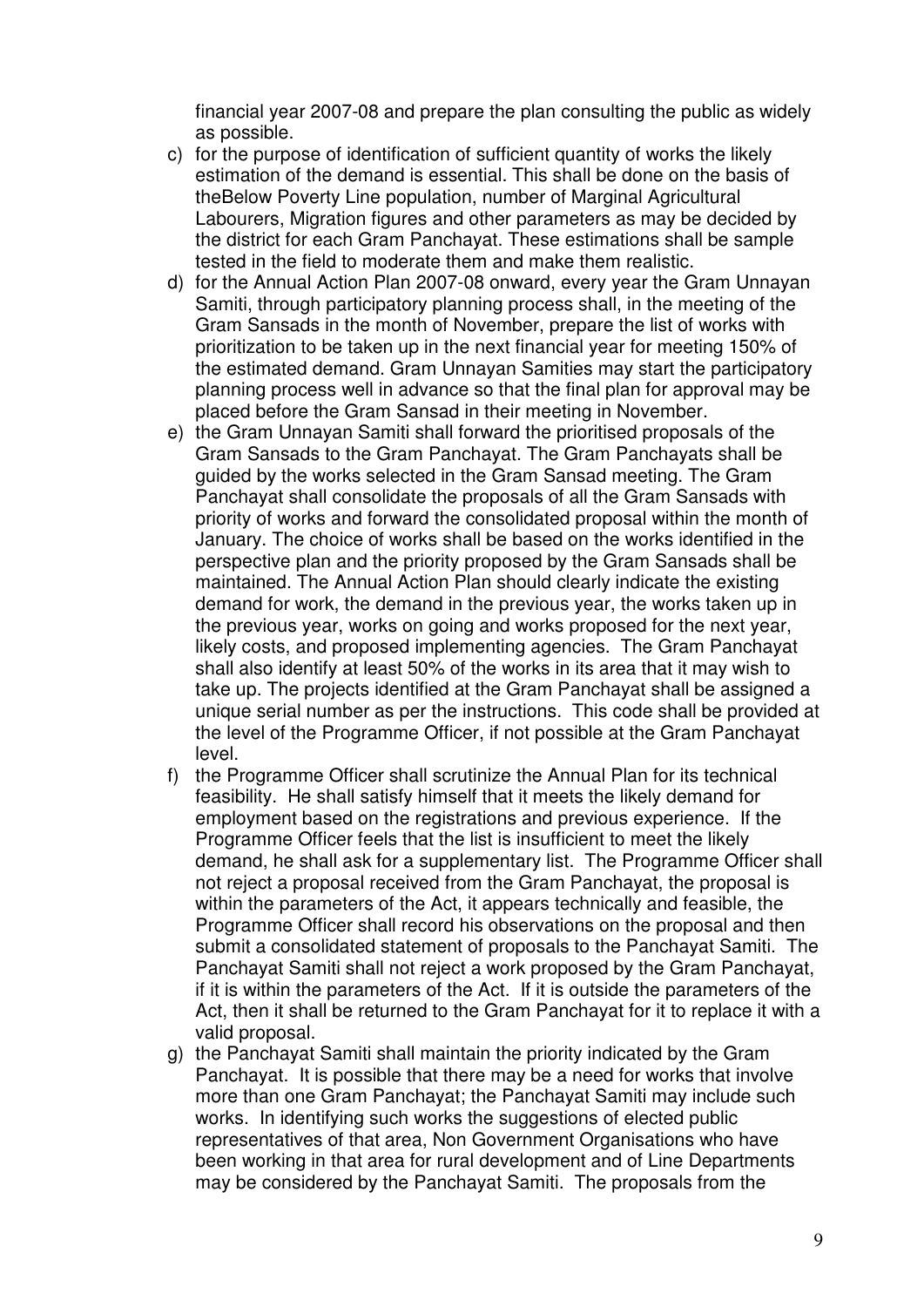financial year 2007-08 and prepare the plan consulting the public as widely as possible.

- c) for the purpose of identification of sufficient quantity of works the likely estimation of the demand is essential. This shall be done on the basis of theBelow Poverty Line population, number of Marginal Agricultural Labourers, Migration figures and other parameters as may be decided by the district for each Gram Panchayat. These estimations shall be sample tested in the field to moderate them and make them realistic.
- d) for the Annual Action Plan 2007-08 onward, every year the Gram Unnayan Samiti, through participatory planning process shall, in the meeting of the Gram Sansads in the month of November, prepare the list of works with prioritization to be taken up in the next financial year for meeting 150% of the estimated demand. Gram Unnayan Samities may start the participatory planning process well in advance so that the final plan for approval may be placed before the Gram Sansad in their meeting in November.
- e) the Gram Unnayan Samiti shall forward the prioritised proposals of the Gram Sansads to the Gram Panchayat. The Gram Panchayats shall be guided by the works selected in the Gram Sansad meeting. The Gram Panchayat shall consolidate the proposals of all the Gram Sansads with priority of works and forward the consolidated proposal within the month of January. The choice of works shall be based on the works identified in the perspective plan and the priority proposed by the Gram Sansads shall be maintained. The Annual Action Plan should clearly indicate the existing demand for work, the demand in the previous year, the works taken up in the previous year, works on going and works proposed for the next year, likely costs, and proposed implementing agencies. The Gram Panchayat shall also identify at least 50% of the works in its area that it may wish to take up. The projects identified at the Gram Panchayat shall be assigned a unique serial number as per the instructions. This code shall be provided at the level of the Programme Officer, if not possible at the Gram Panchayat level.
- f) the Programme Officer shall scrutinize the Annual Plan for its technical feasibility. He shall satisfy himself that it meets the likely demand for employment based on the registrations and previous experience. If the Programme Officer feels that the list is insufficient to meet the likely demand, he shall ask for a supplementary list. The Programme Officer shall not reject a proposal received from the Gram Panchayat, the proposal is within the parameters of the Act, it appears technically and feasible, the Programme Officer shall record his observations on the proposal and then submit a consolidated statement of proposals to the Panchayat Samiti. The Panchayat Samiti shall not reject a work proposed by the Gram Panchayat, if it is within the parameters of the Act. If it is outside the parameters of the Act, then it shall be returned to the Gram Panchayat for it to replace it with a valid proposal.
- g) the Panchayat Samiti shall maintain the priority indicated by the Gram Panchayat. It is possible that there may be a need for works that involve more than one Gram Panchayat; the Panchayat Samiti may include such works. In identifying such works the suggestions of elected public representatives of that area, Non Government Organisations who have been working in that area for rural development and of Line Departments may be considered by the Panchayat Samiti. The proposals from the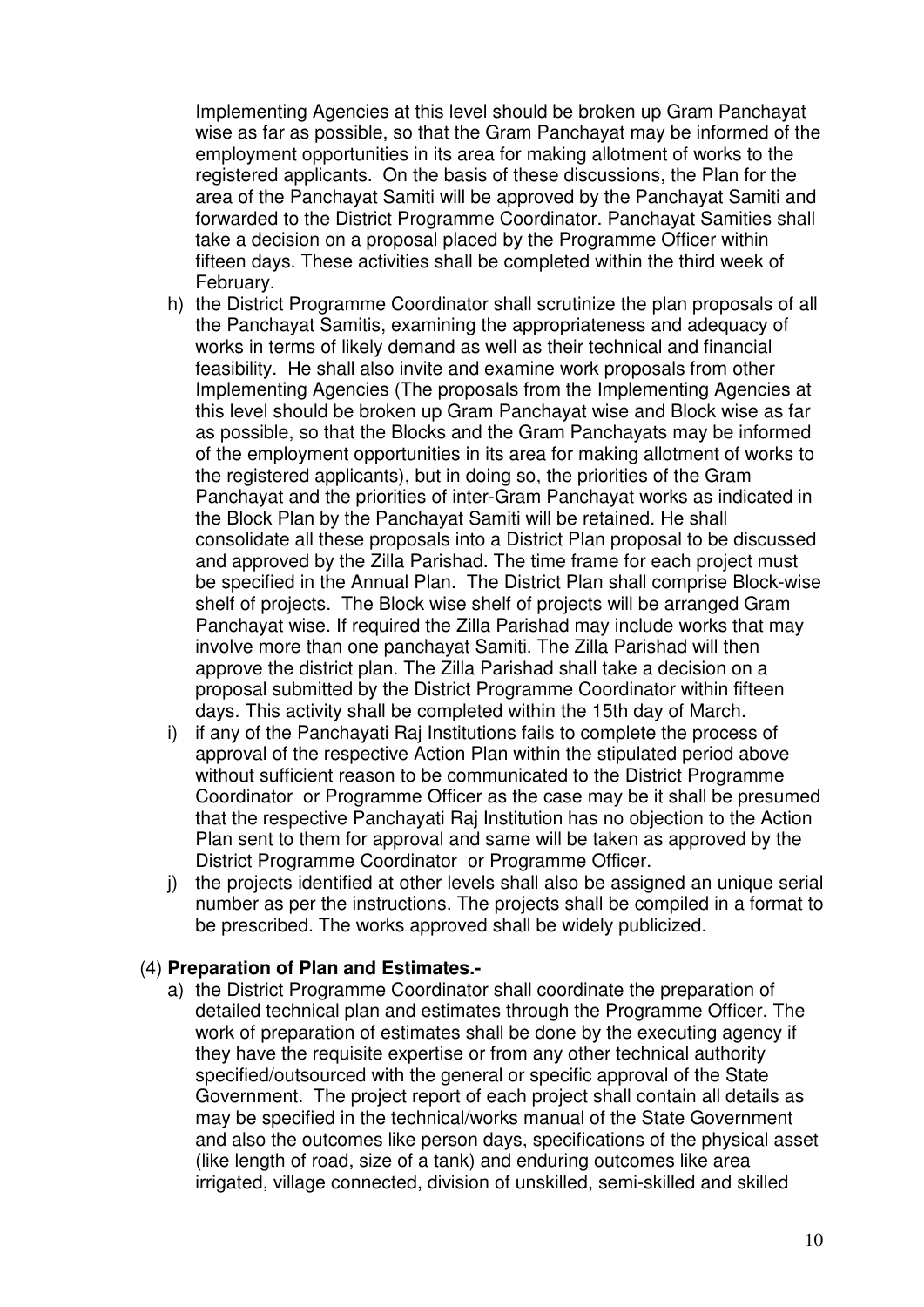Implementing Agencies at this level should be broken up Gram Panchayat wise as far as possible, so that the Gram Panchayat may be informed of the employment opportunities in its area for making allotment of works to the registered applicants. On the basis of these discussions, the Plan for the area of the Panchayat Samiti will be approved by the Panchayat Samiti and forwarded to the District Programme Coordinator. Panchayat Samities shall take a decision on a proposal placed by the Programme Officer within fifteen days. These activities shall be completed within the third week of February.

- h) the District Programme Coordinator shall scrutinize the plan proposals of all the Panchayat Samitis, examining the appropriateness and adequacy of works in terms of likely demand as well as their technical and financial feasibility. He shall also invite and examine work proposals from other Implementing Agencies (The proposals from the Implementing Agencies at this level should be broken up Gram Panchayat wise and Block wise as far as possible, so that the Blocks and the Gram Panchayats may be informed of the employment opportunities in its area for making allotment of works to the registered applicants), but in doing so, the priorities of the Gram Panchayat and the priorities of inter-Gram Panchayat works as indicated in the Block Plan by the Panchayat Samiti will be retained. He shall consolidate all these proposals into a District Plan proposal to be discussed and approved by the Zilla Parishad. The time frame for each project must be specified in the Annual Plan. The District Plan shall comprise Block-wise shelf of projects. The Block wise shelf of projects will be arranged Gram Panchayat wise. If required the Zilla Parishad may include works that may involve more than one panchayat Samiti. The Zilla Parishad will then approve the district plan. The Zilla Parishad shall take a decision on a proposal submitted by the District Programme Coordinator within fifteen days. This activity shall be completed within the 15th day of March.
- i) if any of the Panchayati Raj Institutions fails to complete the process of approval of the respective Action Plan within the stipulated period above without sufficient reason to be communicated to the District Programme Coordinator or Programme Officer as the case may be it shall be presumed that the respective Panchayati Raj Institution has no objection to the Action Plan sent to them for approval and same will be taken as approved by the District Programme Coordinator or Programme Officer.
- j) the projects identified at other levels shall also be assigned an unique serial number as per the instructions. The projects shall be compiled in a format to be prescribed. The works approved shall be widely publicized.

### (4) **Preparation of Plan and Estimates.-**

a) the District Programme Coordinator shall coordinate the preparation of detailed technical plan and estimates through the Programme Officer. The work of preparation of estimates shall be done by the executing agency if they have the requisite expertise or from any other technical authority specified/outsourced with the general or specific approval of the State Government. The project report of each project shall contain all details as may be specified in the technical/works manual of the State Government and also the outcomes like person days, specifications of the physical asset (like length of road, size of a tank) and enduring outcomes like area irrigated, village connected, division of unskilled, semi-skilled and skilled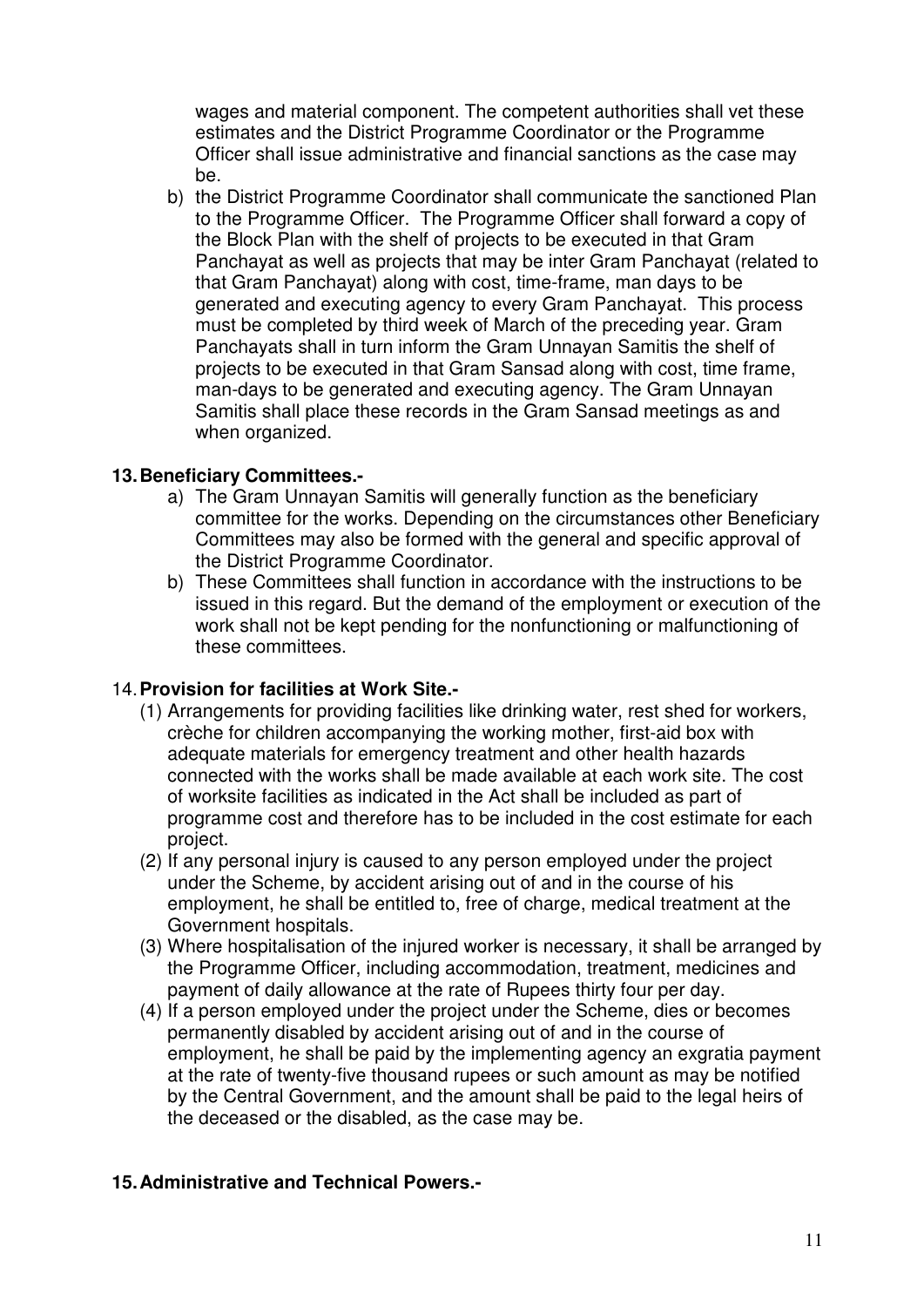wages and material component. The competent authorities shall vet these estimates and the District Programme Coordinator or the Programme Officer shall issue administrative and financial sanctions as the case may be.

b) the District Programme Coordinator shall communicate the sanctioned Plan to the Programme Officer. The Programme Officer shall forward a copy of the Block Plan with the shelf of projects to be executed in that Gram Panchayat as well as projects that may be inter Gram Panchayat (related to that Gram Panchayat) along with cost, time-frame, man days to be generated and executing agency to every Gram Panchayat. This process must be completed by third week of March of the preceding year. Gram Panchayats shall in turn inform the Gram Unnayan Samitis the shelf of projects to be executed in that Gram Sansad along with cost, time frame, man-days to be generated and executing agency. The Gram Unnayan Samitis shall place these records in the Gram Sansad meetings as and when organized.

### **13. Beneficiary Committees.-**

- a) The Gram Unnayan Samitis will generally function as the beneficiary committee for the works. Depending on the circumstances other Beneficiary Committees may also be formed with the general and specific approval of the District Programme Coordinator.
- b) These Committees shall function in accordance with the instructions to be issued in this regard. But the demand of the employment or execution of the work shall not be kept pending for the nonfunctioning or malfunctioning of these committees.

# 14. **Provision for facilities at Work Site.-**

- (1) Arrangements for providing facilities like drinking water, rest shed for workers, crèche for children accompanying the working mother, first-aid box with adequate materials for emergency treatment and other health hazards connected with the works shall be made available at each work site. The cost of worksite facilities as indicated in the Act shall be included as part of programme cost and therefore has to be included in the cost estimate for each project.
- (2) If any personal injury is caused to any person employed under the project under the Scheme, by accident arising out of and in the course of his employment, he shall be entitled to, free of charge, medical treatment at the Government hospitals.
- (3) Where hospitalisation of the injured worker is necessary, it shall be arranged by the Programme Officer, including accommodation, treatment, medicines and payment of daily allowance at the rate of Rupees thirty four per day.
- (4) If a person employed under the project under the Scheme, dies or becomes permanently disabled by accident arising out of and in the course of employment, he shall be paid by the implementing agency an exgratia payment at the rate of twenty-five thousand rupees or such amount as may be notified by the Central Government, and the amount shall be paid to the legal heirs of the deceased or the disabled, as the case may be.

# **15. Administrative and Technical Powers.-**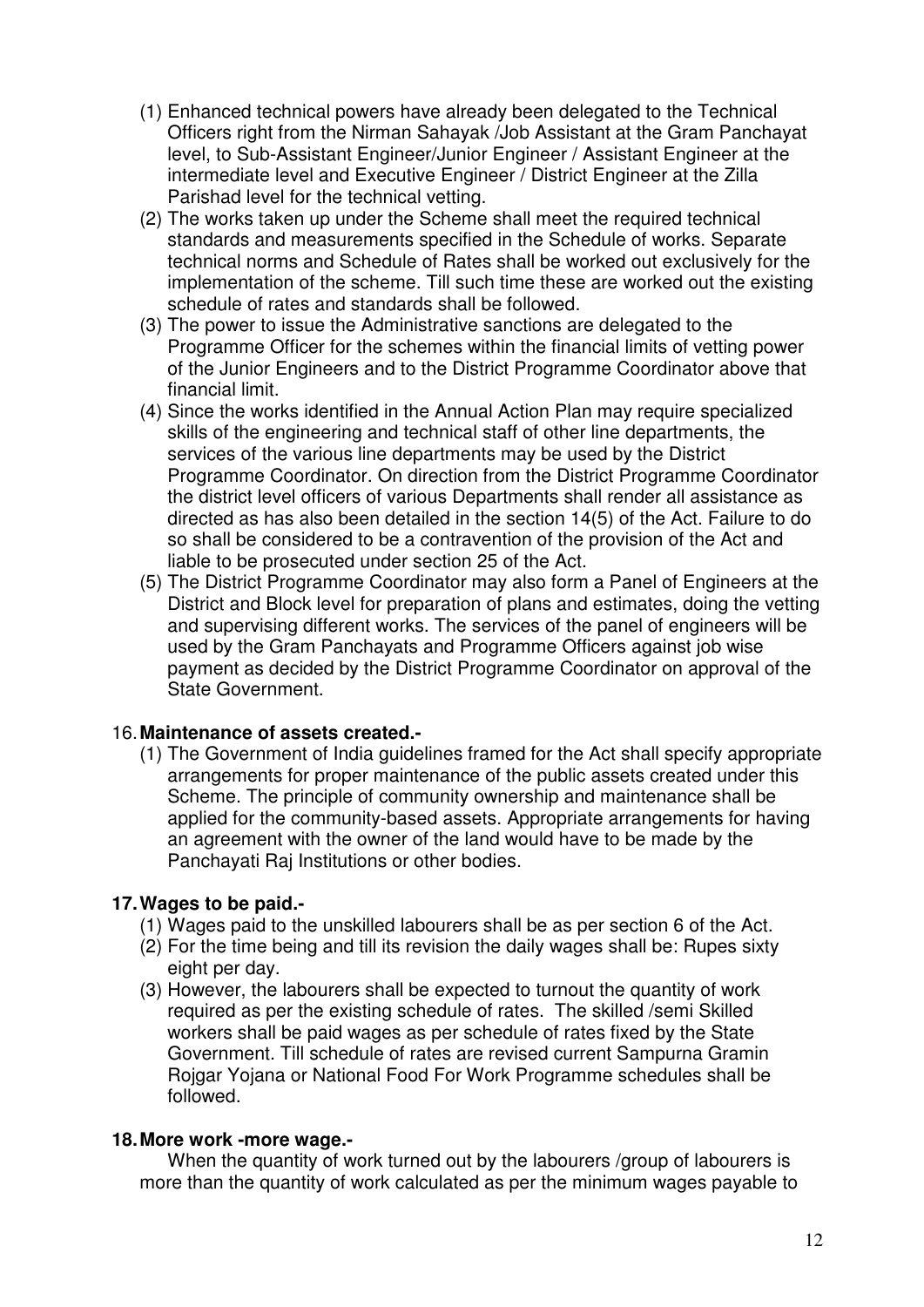- (1) Enhanced technical powers have already been delegated to the Technical Officers right from the Nirman Sahayak /Job Assistant at the Gram Panchayat level, to Sub-Assistant Engineer/Junior Engineer / Assistant Engineer at the intermediate level and Executive Engineer / District Engineer at the Zilla Parishad level for the technical vetting.
- (2) The works taken up under the Scheme shall meet the required technical standards and measurements specified in the Schedule of works. Separate technical norms and Schedule of Rates shall be worked out exclusively for the implementation of the scheme. Till such time these are worked out the existing schedule of rates and standards shall be followed.
- (3) The power to issue the Administrative sanctions are delegated to the Programme Officer for the schemes within the financial limits of vetting power of the Junior Engineers and to the District Programme Coordinator above that financial limit.
- (4) Since the works identified in the Annual Action Plan may require specialized skills of the engineering and technical staff of other line departments, the services of the various line departments may be used by the District Programme Coordinator. On direction from the District Programme Coordinator the district level officers of various Departments shall render all assistance as directed as has also been detailed in the section 14(5) of the Act. Failure to do so shall be considered to be a contravention of the provision of the Act and liable to be prosecuted under section 25 of the Act.
- (5) The District Programme Coordinator may also form a Panel of Engineers at the District and Block level for preparation of plans and estimates, doing the vetting and supervising different works. The services of the panel of engineers will be used by the Gram Panchayats and Programme Officers against job wise payment as decided by the District Programme Coordinator on approval of the State Government.

# 16. **Maintenance of assets created.-**

(1) The Government of India guidelines framed for the Act shall specify appropriate arrangements for proper maintenance of the public assets created under this Scheme. The principle of community ownership and maintenance shall be applied for the community-based assets. Appropriate arrangements for having an agreement with the owner of the land would have to be made by the Panchayati Raj Institutions or other bodies.

# **17. Wages to be paid.-**

- (1) Wages paid to the unskilled labourers shall be as per section 6 of the Act.
- (2) For the time being and till its revision the daily wages shall be: Rupes sixty eight per day.
- (3) However, the labourers shall be expected to turnout the quantity of work required as per the existing schedule of rates. The skilled /semi Skilled workers shall be paid wages as per schedule of rates fixed by the State Government. Till schedule of rates are revised current Sampurna Gramin Rojgar Yojana or National Food For Work Programme schedules shall be followed.

### **18. More work -more wage.-**

When the quantity of work turned out by the labourers /group of labourers is more than the quantity of work calculated as per the minimum wages payable to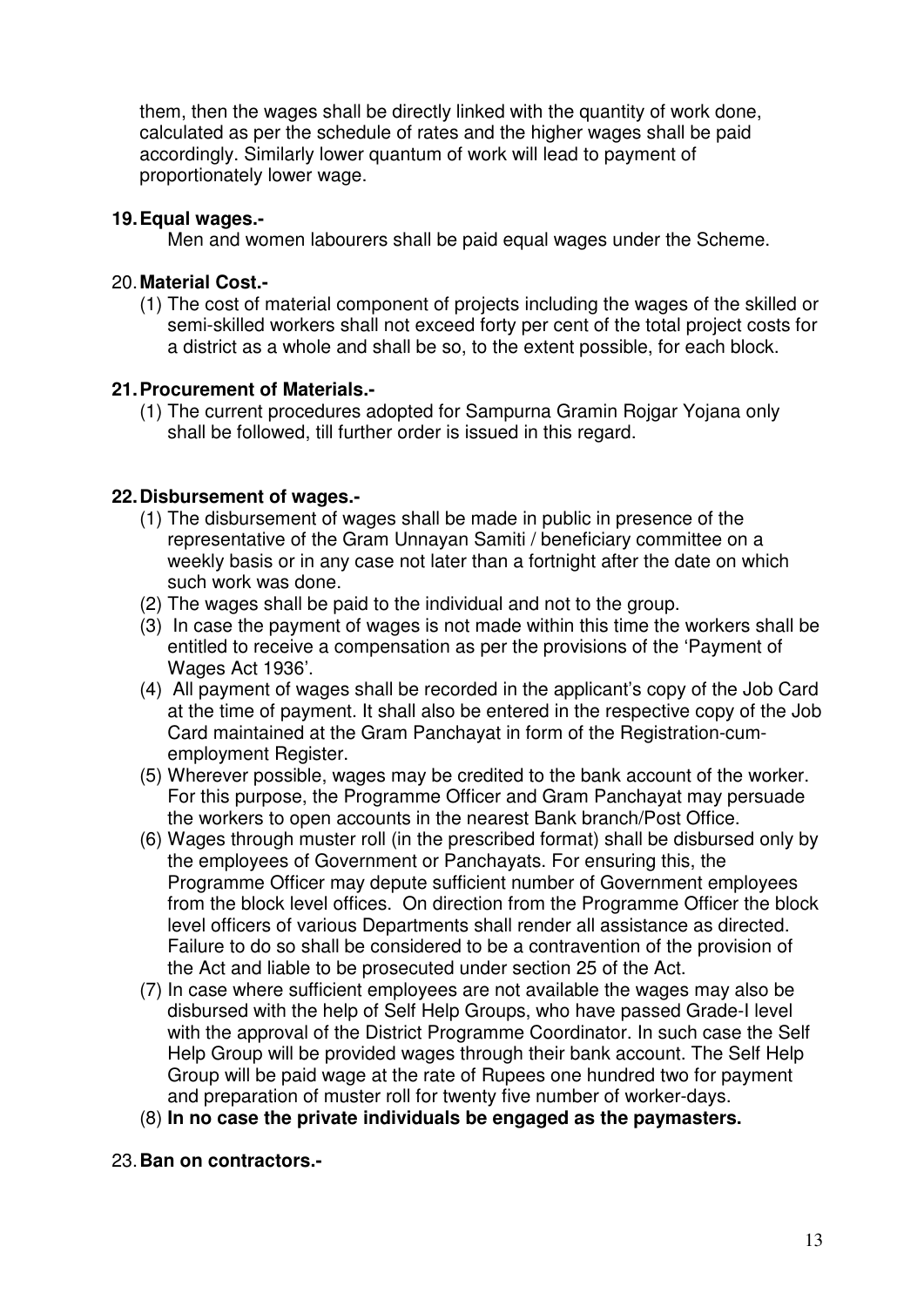them, then the wages shall be directly linked with the quantity of work done, calculated as per the schedule of rates and the higher wages shall be paid accordingly. Similarly lower quantum of work will lead to payment of proportionately lower wage.

### **19. Equal wages.-**

Men and women labourers shall be paid equal wages under the Scheme.

### 20. **Material Cost.-**

(1) The cost of material component of projects including the wages of the skilled or semi-skilled workers shall not exceed forty per cent of the total project costs for a district as a whole and shall be so, to the extent possible, for each block.

### **21. Procurement of Materials.-**

(1) The current procedures adopted for Sampurna Gramin Rojgar Yojana only shall be followed, till further order is issued in this regard.

### **22. Disbursement of wages.-**

- (1) The disbursement of wages shall be made in public in presence of the representative of the Gram Unnayan Samiti / beneficiary committee on a weekly basis or in any case not later than a fortnight after the date on which such work was done.
- (2) The wages shall be paid to the individual and not to the group.
- (3) In case the payment of wages is not made within this time the workers shall be entitled to receive a compensation as per the provisions of the 'Payment of Wages Act 1936'.
- (4) All payment of wages shall be recorded in the applicant's copy of the Job Card at the time of payment. It shall also be entered in the respective copy of the Job Card maintained at the Gram Panchayat in form of the Registration-cumemployment Register.
- (5) Wherever possible, wages may be credited to the bank account of the worker. For this purpose, the Programme Officer and Gram Panchayat may persuade the workers to open accounts in the nearest Bank branch/Post Office.
- (6) Wages through muster roll (in the prescribed format) shall be disbursed only by the employees of Government or Panchayats. For ensuring this, the Programme Officer may depute sufficient number of Government employees from the block level offices. On direction from the Programme Officer the block level officers of various Departments shall render all assistance as directed. Failure to do so shall be considered to be a contravention of the provision of the Act and liable to be prosecuted under section 25 of the Act.
- (7) In case where sufficient employees are not available the wages may also be disbursed with the help of Self Help Groups, who have passed Grade-I level with the approval of the District Programme Coordinator. In such case the Self Help Group will be provided wages through their bank account. The Self Help Group will be paid wage at the rate of Rupees one hundred two for payment and preparation of muster roll for twenty five number of worker-days.
- (8) **In no case the private individuals be engaged as the paymasters.**

### 23. **Ban on contractors.-**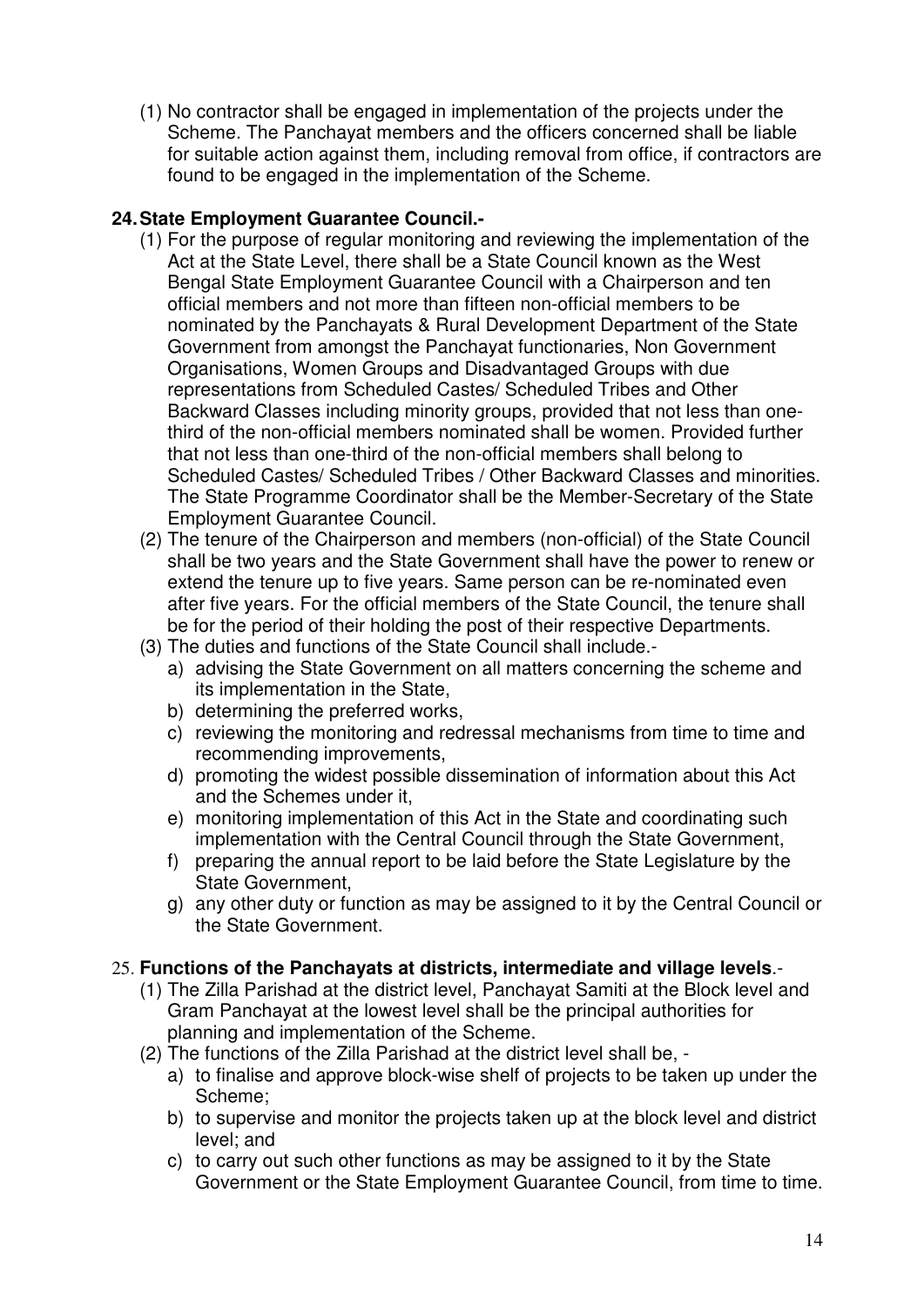(1) No contractor shall be engaged in implementation of the projects under the Scheme. The Panchayat members and the officers concerned shall be liable for suitable action against them, including removal from office, if contractors are found to be engaged in the implementation of the Scheme.

# **24. State Employment Guarantee Council.-**

- (1) For the purpose of regular monitoring and reviewing the implementation of the Act at the State Level, there shall be a State Council known as the West Bengal State Employment Guarantee Council with a Chairperson and ten official members and not more than fifteen non-official members to be nominated by the Panchayats & Rural Development Department of the State Government from amongst the Panchayat functionaries, Non Government Organisations, Women Groups and Disadvantaged Groups with due representations from Scheduled Castes/ Scheduled Tribes and Other Backward Classes including minority groups, provided that not less than onethird of the non-official members nominated shall be women. Provided further that not less than one-third of the non-official members shall belong to Scheduled Castes/ Scheduled Tribes / Other Backward Classes and minorities. The State Programme Coordinator shall be the Member-Secretary of the State Employment Guarantee Council.
- (2) The tenure of the Chairperson and members (non-official) of the State Council shall be two years and the State Government shall have the power to renew or extend the tenure up to five years. Same person can be re-nominated even after five years. For the official members of the State Council, the tenure shall be for the period of their holding the post of their respective Departments.
- (3) The duties and functions of the State Council shall include.
	- a) advising the State Government on all matters concerning the scheme and its implementation in the State,
	- b) determining the preferred works,
	- c) reviewing the monitoring and redressal mechanisms from time to time and recommending improvements,
	- d) promoting the widest possible dissemination of information about this Act and the Schemes under it,
	- e) monitoring implementation of this Act in the State and coordinating such implementation with the Central Council through the State Government,
	- f) preparing the annual report to be laid before the State Legislature by the State Government,
	- g) any other duty or function as may be assigned to it by the Central Council or the State Government.

# 25. **Functions of the Panchayats at districts, intermediate and village levels**.-

- (1) The Zilla Parishad at the district level, Panchayat Samiti at the Block level and Gram Panchayat at the lowest level shall be the principal authorities for planning and implementation of the Scheme.
- (2) The functions of the Zilla Parishad at the district level shall be,
	- a) to finalise and approve block-wise shelf of projects to be taken up under the Scheme;
	- b) to supervise and monitor the projects taken up at the block level and district level; and
	- c) to carry out such other functions as may be assigned to it by the State Government or the State Employment Guarantee Council, from time to time.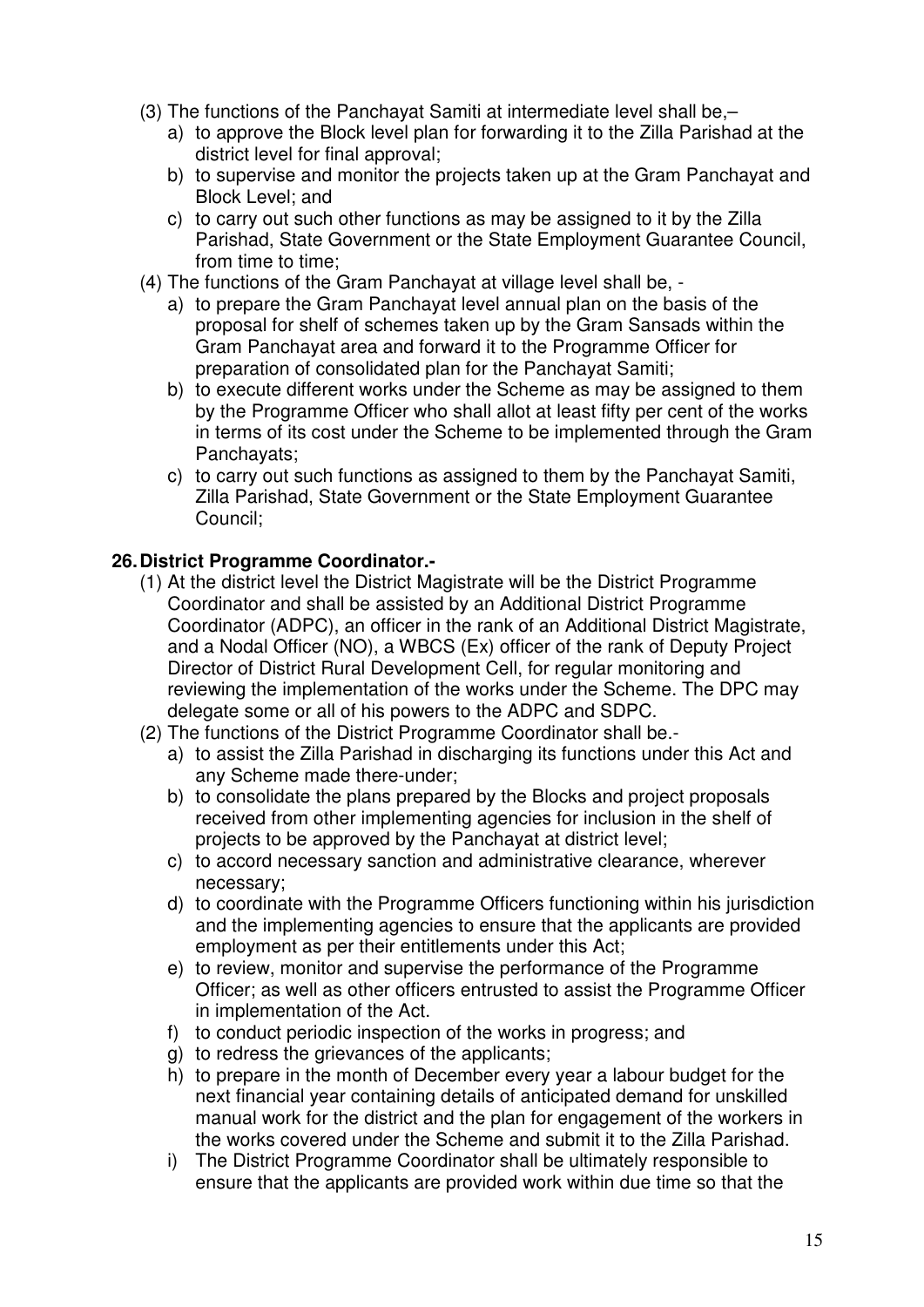- (3) The functions of the Panchayat Samiti at intermediate level shall be,–
	- a) to approve the Block level plan for forwarding it to the Zilla Parishad at the district level for final approval;
	- b) to supervise and monitor the projects taken up at the Gram Panchayat and Block Level; and
	- c) to carry out such other functions as may be assigned to it by the Zilla Parishad, State Government or the State Employment Guarantee Council, from time to time;
- (4) The functions of the Gram Panchayat at village level shall be,
	- a) to prepare the Gram Panchayat level annual plan on the basis of the proposal for shelf of schemes taken up by the Gram Sansads within the Gram Panchayat area and forward it to the Programme Officer for preparation of consolidated plan for the Panchayat Samiti;
	- b) to execute different works under the Scheme as may be assigned to them by the Programme Officer who shall allot at least fifty per cent of the works in terms of its cost under the Scheme to be implemented through the Gram Panchayats;
	- c) to carry out such functions as assigned to them by the Panchayat Samiti, Zilla Parishad, State Government or the State Employment Guarantee Council;

# **26. District Programme Coordinator.-**

- (1) At the district level the District Magistrate will be the District Programme Coordinator and shall be assisted by an Additional District Programme Coordinator (ADPC), an officer in the rank of an Additional District Magistrate, and a Nodal Officer (NO), a WBCS (Ex) officer of the rank of Deputy Project Director of District Rural Development Cell, for regular monitoring and reviewing the implementation of the works under the Scheme. The DPC may delegate some or all of his powers to the ADPC and SDPC.
- (2) The functions of the District Programme Coordinator shall be.
	- a) to assist the Zilla Parishad in discharging its functions under this Act and any Scheme made there-under;
	- b) to consolidate the plans prepared by the Blocks and project proposals received from other implementing agencies for inclusion in the shelf of projects to be approved by the Panchayat at district level;
	- c) to accord necessary sanction and administrative clearance, wherever necessary;
	- d) to coordinate with the Programme Officers functioning within his jurisdiction and the implementing agencies to ensure that the applicants are provided employment as per their entitlements under this Act;
	- e) to review, monitor and supervise the performance of the Programme Officer; as well as other officers entrusted to assist the Programme Officer in implementation of the Act.
	- f) to conduct periodic inspection of the works in progress; and
	- g) to redress the grievances of the applicants;
	- h) to prepare in the month of December every year a labour budget for the next financial year containing details of anticipated demand for unskilled manual work for the district and the plan for engagement of the workers in the works covered under the Scheme and submit it to the Zilla Parishad.
	- i) The District Programme Coordinator shall be ultimately responsible to ensure that the applicants are provided work within due time so that the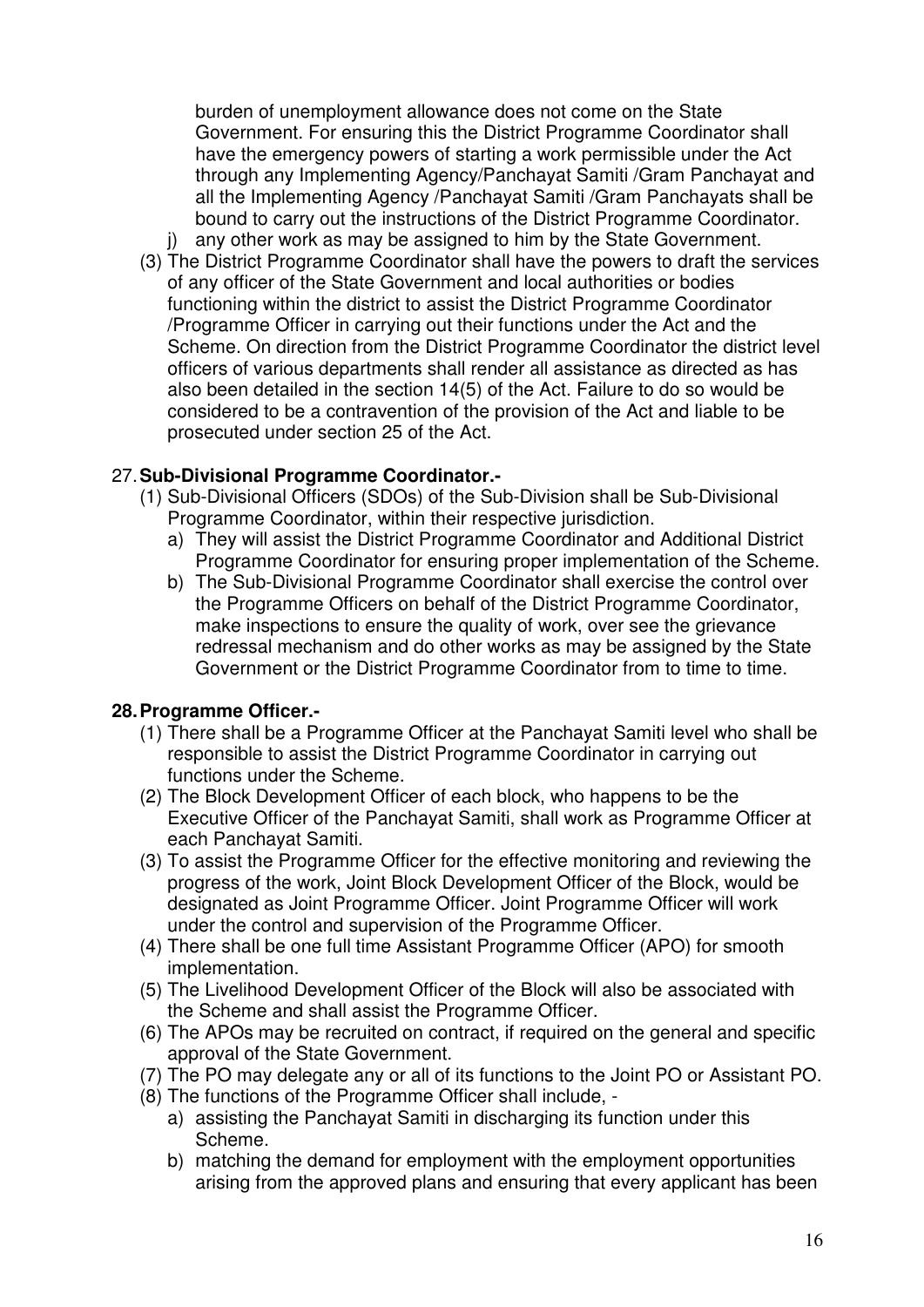burden of unemployment allowance does not come on the State Government. For ensuring this the District Programme Coordinator shall have the emergency powers of starting a work permissible under the Act through any Implementing Agency/Panchayat Samiti /Gram Panchayat and all the Implementing Agency /Panchayat Samiti /Gram Panchayats shall be bound to carry out the instructions of the District Programme Coordinator.

- any other work as may be assigned to him by the State Government. (3) The District Programme Coordinator shall have the powers to draft the services
- of any officer of the State Government and local authorities or bodies functioning within the district to assist the District Programme Coordinator /Programme Officer in carrying out their functions under the Act and the Scheme. On direction from the District Programme Coordinator the district level officers of various departments shall render all assistance as directed as has also been detailed in the section 14(5) of the Act. Failure to do so would be considered to be a contravention of the provision of the Act and liable to be prosecuted under section 25 of the Act.

# 27. **Sub-Divisional Programme Coordinator.-**

- (1) Sub-Divisional Officers (SDOs) of the Sub-Division shall be Sub-Divisional Programme Coordinator, within their respective jurisdiction.
	- a) They will assist the District Programme Coordinator and Additional District Programme Coordinator for ensuring proper implementation of the Scheme.
	- b) The Sub-Divisional Programme Coordinator shall exercise the control over the Programme Officers on behalf of the District Programme Coordinator, make inspections to ensure the quality of work, over see the grievance redressal mechanism and do other works as may be assigned by the State Government or the District Programme Coordinator from to time to time.

# **28. Programme Officer.-**

- (1) There shall be a Programme Officer at the Panchayat Samiti level who shall be responsible to assist the District Programme Coordinator in carrying out functions under the Scheme.
- (2) The Block Development Officer of each block, who happens to be the Executive Officer of the Panchayat Samiti, shall work as Programme Officer at each Panchayat Samiti.
- (3) To assist the Programme Officer for the effective monitoring and reviewing the progress of the work, Joint Block Development Officer of the Block, would be designated as Joint Programme Officer. Joint Programme Officer will work under the control and supervision of the Programme Officer.
- (4) There shall be one full time Assistant Programme Officer (APO) for smooth implementation.
- (5) The Livelihood Development Officer of the Block will also be associated with the Scheme and shall assist the Programme Officer.
- (6) The APOs may be recruited on contract, if required on the general and specific approval of the State Government.
- (7) The PO may delegate any or all of its functions to the Joint PO or Assistant PO.
- (8) The functions of the Programme Officer shall include,
	- a) assisting the Panchayat Samiti in discharging its function under this Scheme.
	- b) matching the demand for employment with the employment opportunities arising from the approved plans and ensuring that every applicant has been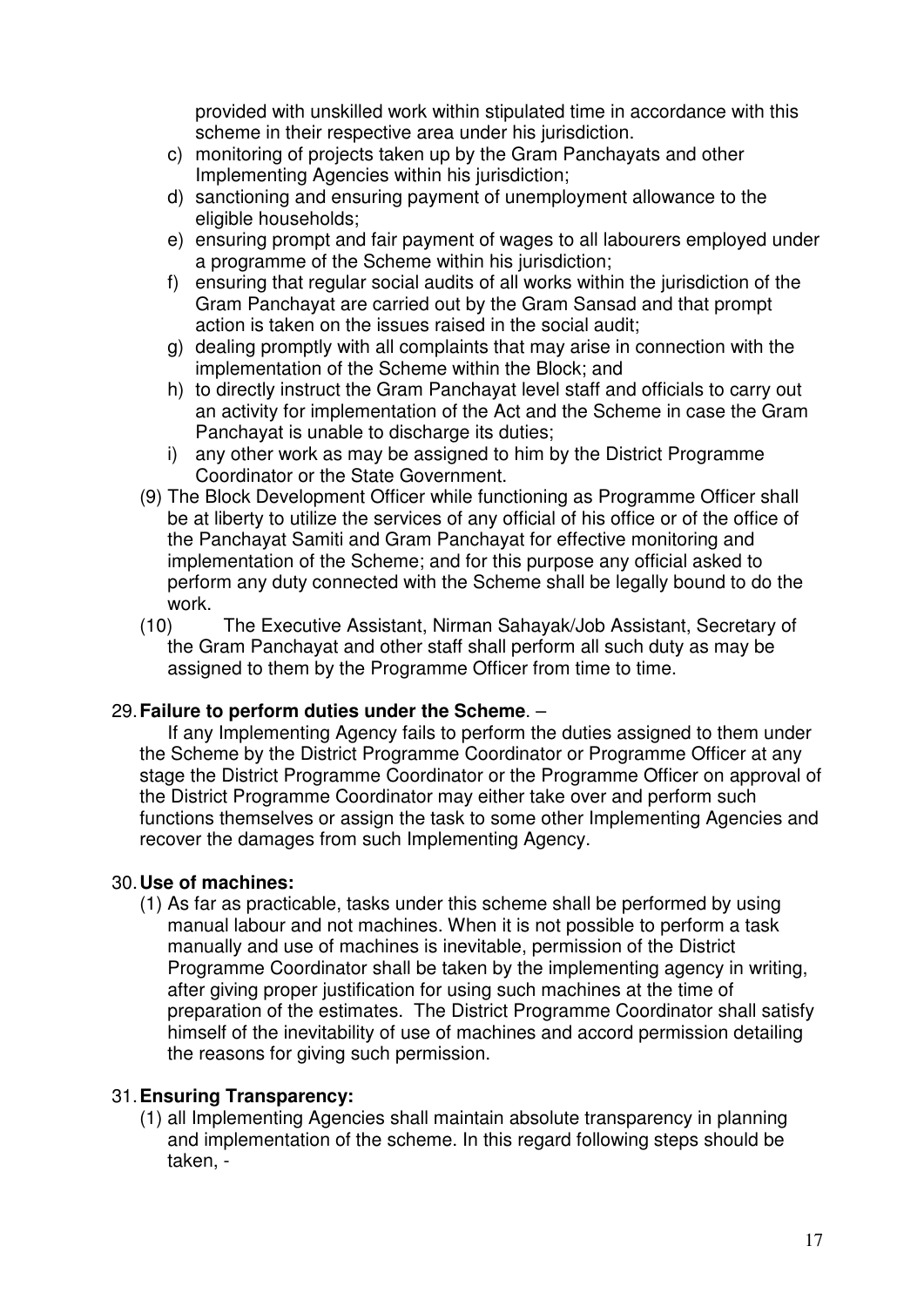provided with unskilled work within stipulated time in accordance with this scheme in their respective area under his jurisdiction.

- c) monitoring of projects taken up by the Gram Panchayats and other Implementing Agencies within his jurisdiction;
- d) sanctioning and ensuring payment of unemployment allowance to the eligible households;
- e) ensuring prompt and fair payment of wages to all labourers employed under a programme of the Scheme within his jurisdiction;
- f) ensuring that regular social audits of all works within the jurisdiction of the Gram Panchayat are carried out by the Gram Sansad and that prompt action is taken on the issues raised in the social audit;
- g) dealing promptly with all complaints that may arise in connection with the implementation of the Scheme within the Block; and
- h) to directly instruct the Gram Panchayat level staff and officials to carry out an activity for implementation of the Act and the Scheme in case the Gram Panchayat is unable to discharge its duties;
- i) any other work as may be assigned to him by the District Programme Coordinator or the State Government.
- (9) The Block Development Officer while functioning as Programme Officer shall be at liberty to utilize the services of any official of his office or of the office of the Panchayat Samiti and Gram Panchayat for effective monitoring and implementation of the Scheme; and for this purpose any official asked to perform any duty connected with the Scheme shall be legally bound to do the work.
- (10) The Executive Assistant, Nirman Sahayak/Job Assistant, Secretary of the Gram Panchayat and other staff shall perform all such duty as may be assigned to them by the Programme Officer from time to time.

# 29. **Failure to perform duties under the Scheme**. –

If any Implementing Agency fails to perform the duties assigned to them under the Scheme by the District Programme Coordinator or Programme Officer at any stage the District Programme Coordinator or the Programme Officer on approval of the District Programme Coordinator may either take over and perform such functions themselves or assign the task to some other Implementing Agencies and recover the damages from such Implementing Agency.

# 30. **Use of machines:**

(1) As far as practicable, tasks under this scheme shall be performed by using manual labour and not machines. When it is not possible to perform a task manually and use of machines is inevitable, permission of the District Programme Coordinator shall be taken by the implementing agency in writing, after giving proper justification for using such machines at the time of preparation of the estimates. The District Programme Coordinator shall satisfy himself of the inevitability of use of machines and accord permission detailing the reasons for giving such permission.

# 31. **Ensuring Transparency:**

(1) all Implementing Agencies shall maintain absolute transparency in planning and implementation of the scheme. In this regard following steps should be taken, -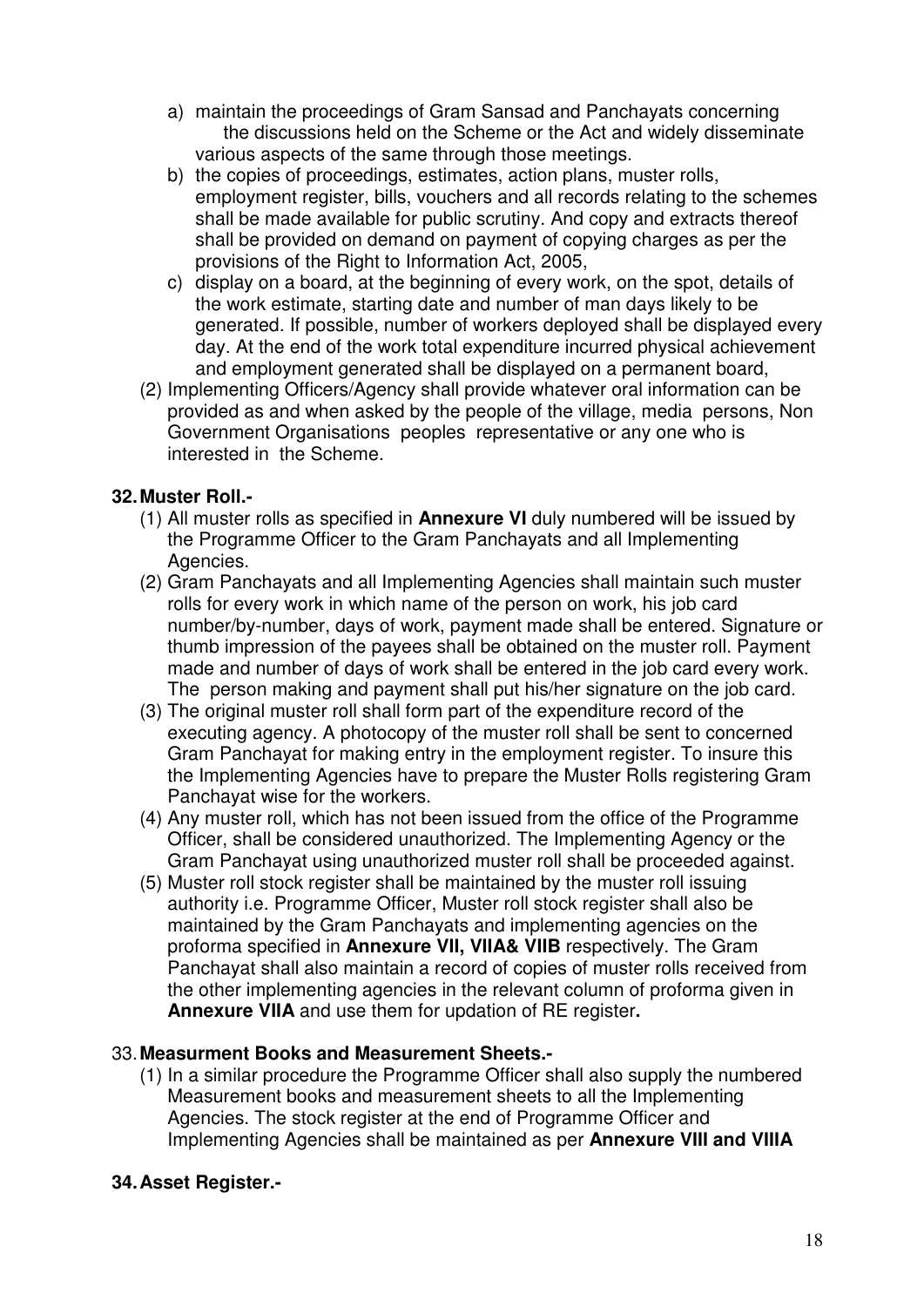- a) maintain the proceedings of Gram Sansad and Panchayats concerning the discussions held on the Scheme or the Act and widely disseminate various aspects of the same through those meetings.
- b) the copies of proceedings, estimates, action plans, muster rolls, employment register, bills, vouchers and all records relating to the schemes shall be made available for public scrutiny. And copy and extracts thereof shall be provided on demand on payment of copying charges as per the provisions of the Right to Information Act, 2005,
- c) display on a board, at the beginning of every work, on the spot, details of the work estimate, starting date and number of man days likely to be generated. If possible, number of workers deployed shall be displayed every day. At the end of the work total expenditure incurred physical achievement and employment generated shall be displayed on a permanent board,
- (2) Implementing Officers/Agency shall provide whatever oral information can be provided as and when asked by the people of the village, media persons, Non Government Organisations peoples representative or any one who is interested in the Scheme.

# **32. Muster Roll.-**

- (1) All muster rolls as specified in **Annexure VI** duly numbered will be issued by the Programme Officer to the Gram Panchayats and all Implementing Agencies.
- (2) Gram Panchayats and all Implementing Agencies shall maintain such muster rolls for every work in which name of the person on work, his job card number/by-number, days of work, payment made shall be entered. Signature or thumb impression of the payees shall be obtained on the muster roll. Payment made and number of days of work shall be entered in the job card every work. The person making and payment shall put his/her signature on the job card.
- (3) The original muster roll shall form part of the expenditure record of the executing agency. A photocopy of the muster roll shall be sent to concerned Gram Panchayat for making entry in the employment register. To insure this the Implementing Agencies have to prepare the Muster Rolls registering Gram Panchayat wise for the workers.
- (4) Any muster roll, which has not been issued from the office of the Programme Officer, shall be considered unauthorized. The Implementing Agency or the Gram Panchayat using unauthorized muster roll shall be proceeded against.
- (5) Muster roll stock register shall be maintained by the muster roll issuing authority i.e. Programme Officer, Muster roll stock register shall also be maintained by the Gram Panchayats and implementing agencies on the proforma specified in **Annexure VII, VIIA& VIIB** respectively. The Gram Panchayat shall also maintain a record of copies of muster rolls received from the other implementing agencies in the relevant column of proforma given in **Annexure VIIA** and use them for updation of RE register**.**

# 33. **Measurment Books and Measurement Sheets.-**

(1) In a similar procedure the Programme Officer shall also supply the numbered Measurement books and measurement sheets to all the Implementing Agencies. The stock register at the end of Programme Officer and Implementing Agencies shall be maintained as per **Annexure VIII and VIIIA**

# **34. Asset Register.-**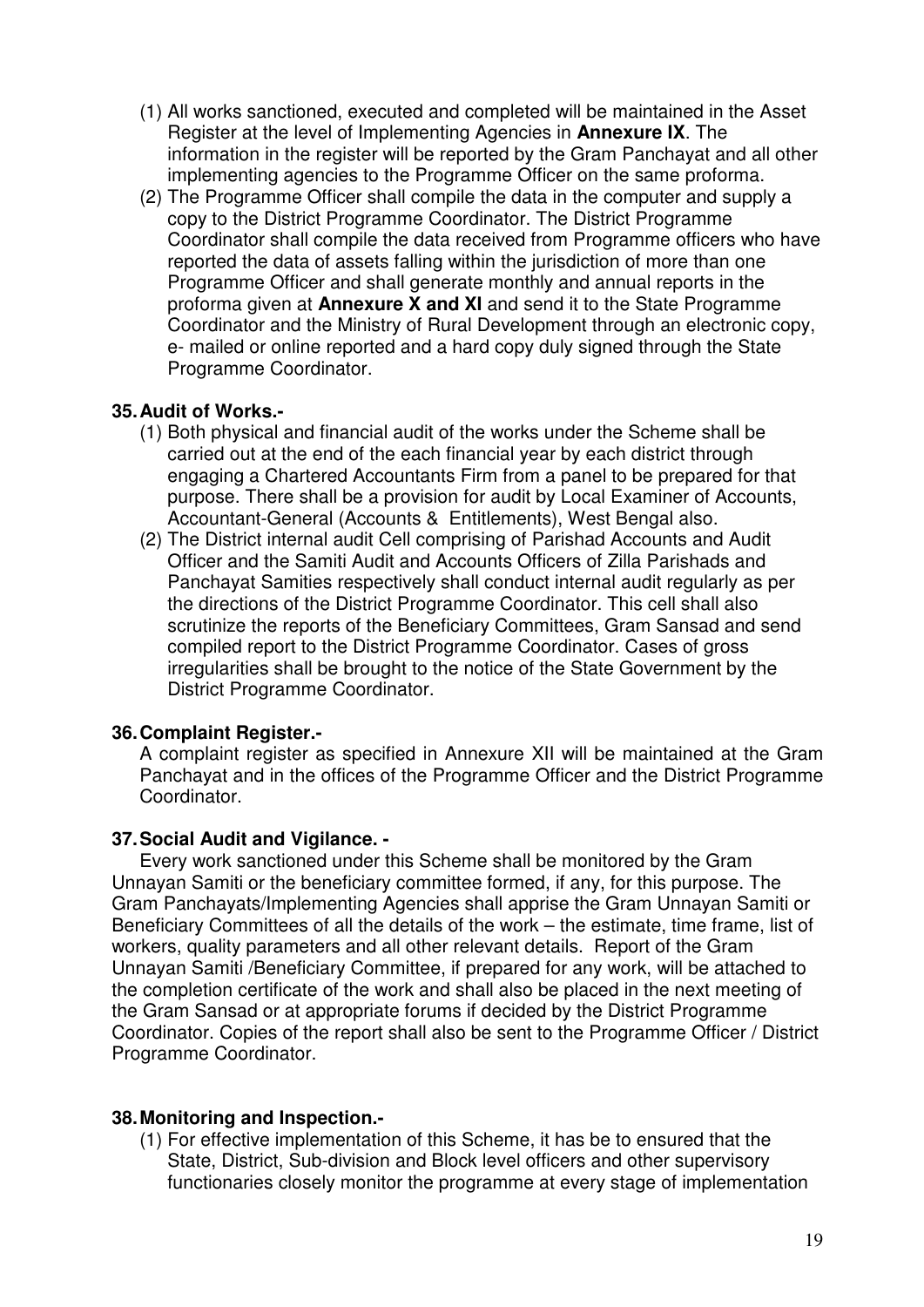- (1) All works sanctioned, executed and completed will be maintained in the Asset Register at the level of Implementing Agencies in **Annexure IX**. The information in the register will be reported by the Gram Panchayat and all other implementing agencies to the Programme Officer on the same proforma.
- (2) The Programme Officer shall compile the data in the computer and supply a copy to the District Programme Coordinator. The District Programme Coordinator shall compile the data received from Programme officers who have reported the data of assets falling within the jurisdiction of more than one Programme Officer and shall generate monthly and annual reports in the proforma given at **Annexure X and XI** and send it to the State Programme Coordinator and the Ministry of Rural Development through an electronic copy, e- mailed or online reported and a hard copy duly signed through the State Programme Coordinator.

### **35. Audit of Works.-**

- (1) Both physical and financial audit of the works under the Scheme shall be carried out at the end of the each financial year by each district through engaging a Chartered Accountants Firm from a panel to be prepared for that purpose. There shall be a provision for audit by Local Examiner of Accounts, Accountant-General (Accounts & Entitlements), West Bengal also.
- (2) The District internal audit Cell comprising of Parishad Accounts and Audit Officer and the Samiti Audit and Accounts Officers of Zilla Parishads and Panchayat Samities respectively shall conduct internal audit regularly as per the directions of the District Programme Coordinator. This cell shall also scrutinize the reports of the Beneficiary Committees, Gram Sansad and send compiled report to the District Programme Coordinator. Cases of gross irregularities shall be brought to the notice of the State Government by the District Programme Coordinator.

# **36. Complaint Register.-**

A complaint register as specified in Annexure XII will be maintained at the Gram Panchayat and in the offices of the Programme Officer and the District Programme Coordinator.

### **37. Social Audit and Vigilance. -**

Every work sanctioned under this Scheme shall be monitored by the Gram Unnayan Samiti or the beneficiary committee formed, if any, for this purpose. The Gram Panchayats/Implementing Agencies shall apprise the Gram Unnayan Samiti or Beneficiary Committees of all the details of the work – the estimate, time frame, list of workers, quality parameters and all other relevant details. Report of the Gram Unnayan Samiti /Beneficiary Committee, if prepared for any work, will be attached to the completion certificate of the work and shall also be placed in the next meeting of the Gram Sansad or at appropriate forums if decided by the District Programme Coordinator. Copies of the report shall also be sent to the Programme Officer / District Programme Coordinator.

### **38. Monitoring and Inspection.-**

(1) For effective implementation of this Scheme, it has be to ensured that the State, District, Sub-division and Block level officers and other supervisory functionaries closely monitor the programme at every stage of implementation